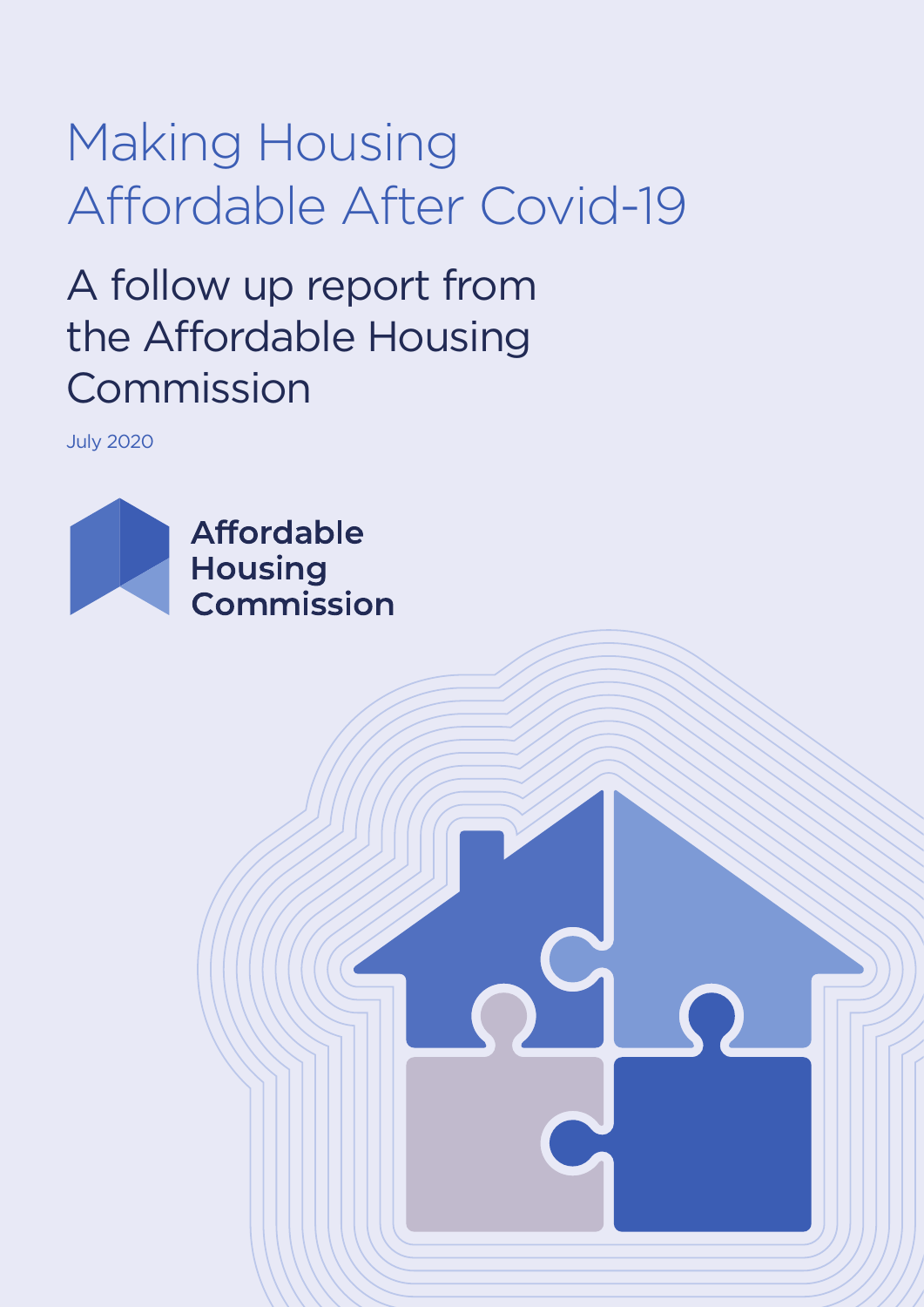# Making Housing Affordable After Covid-19

## A follow up report from the Affordable Housing Commission

July 2020

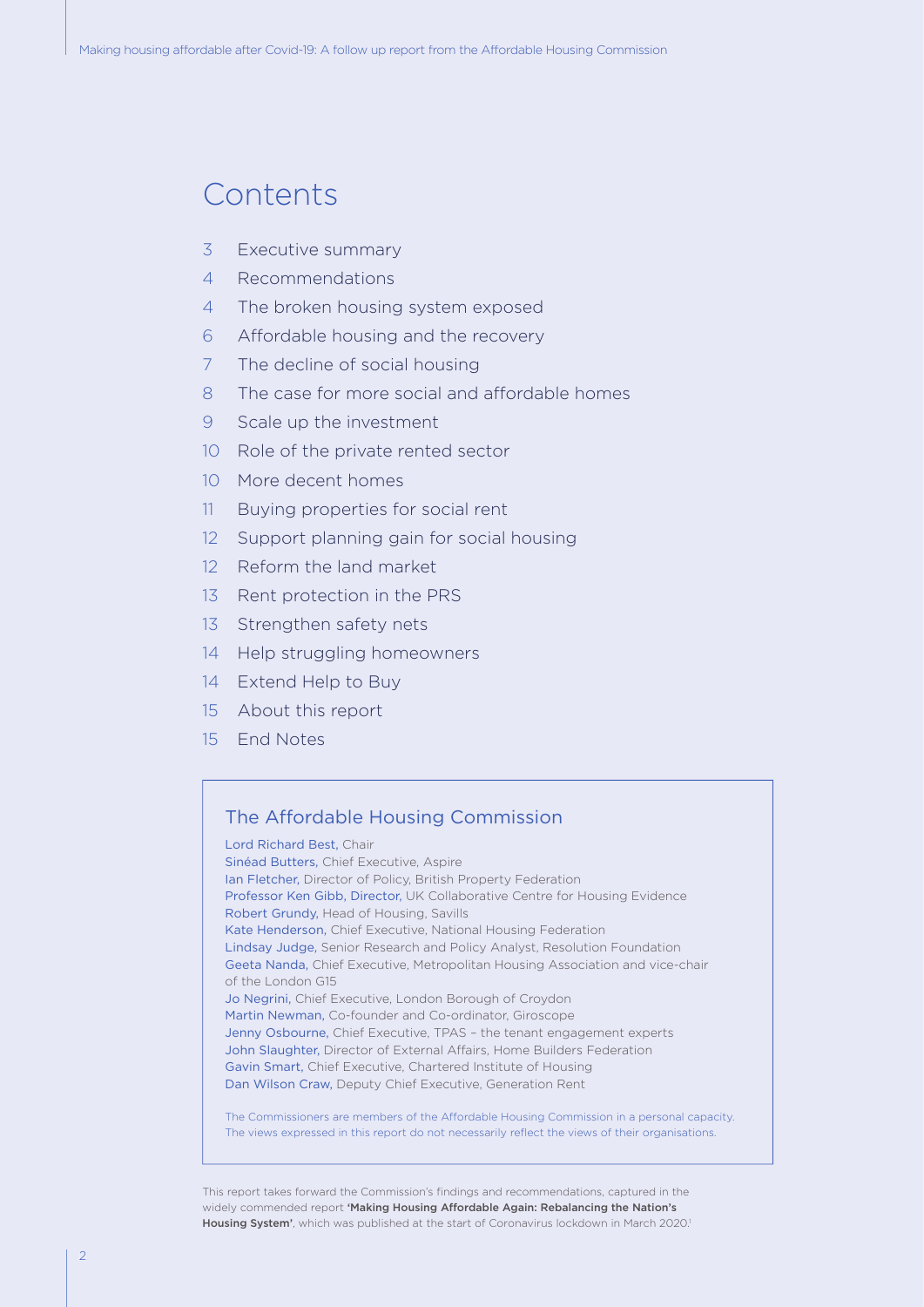#### Contents

- 3 Executive summary
- 4 Recommendations
- 4 The broken housing system exposed
- 6 Affordable housing and the recovery
- 7 The decline of social housing
- 8 The case for more social and affordable homes
- 9 Scale up the investment
- 10 Role of the private rented sector
- 10 More decent homes
- 11 Buying properties for social rent
- 12 Support planning gain for social housing
- 12 Reform the land market
- 13 Rent protection in the PRS
- 13 Strengthen safety nets
- 14 Help struggling homeowners
- 14 Extend Help to Buy
- 15 About this report
- 15 End Notes

#### The Affordable Housing Commission

Lord Richard Best, Chair Sinéad Butters, Chief Executive, Aspire Ian Fletcher, Director of Policy, British Property Federation Professor Ken Gibb, Director, UK Collaborative Centre for Housing Evidence Robert Grundy, Head of Housing, Savills Kate Henderson, Chief Executive, National Housing Federation Lindsay Judge, Senior Research and Policy Analyst, Resolution Foundation Geeta Nanda, Chief Executive, Metropolitan Housing Association and vice-chair of the London G15 Jo Negrini, Chief Executive, London Borough of Croydon Martin Newman, Co-founder and Co-ordinator, Giroscope Jenny Osbourne, Chief Executive, TPAS – the tenant engagement experts John Slaughter, Director of External Affairs, Home Builders Federation Gavin Smart, Chief Executive, Chartered Institute of Housing Dan Wilson Craw, Deputy Chief Executive, Generation Rent

The Commissioners are members of the Affordable Housing Commission in a personal capacity. The views expressed in this report do not necessarily reflect the views of their organisations.

This report takes forward the Commission's findings and recommendations, captured in the widely commended report 'Making Housing Affordable Again: Rebalancing the Nation's Housing System', which was published at the start of Coronavirus lockdown in March 2020.<sup>1</sup>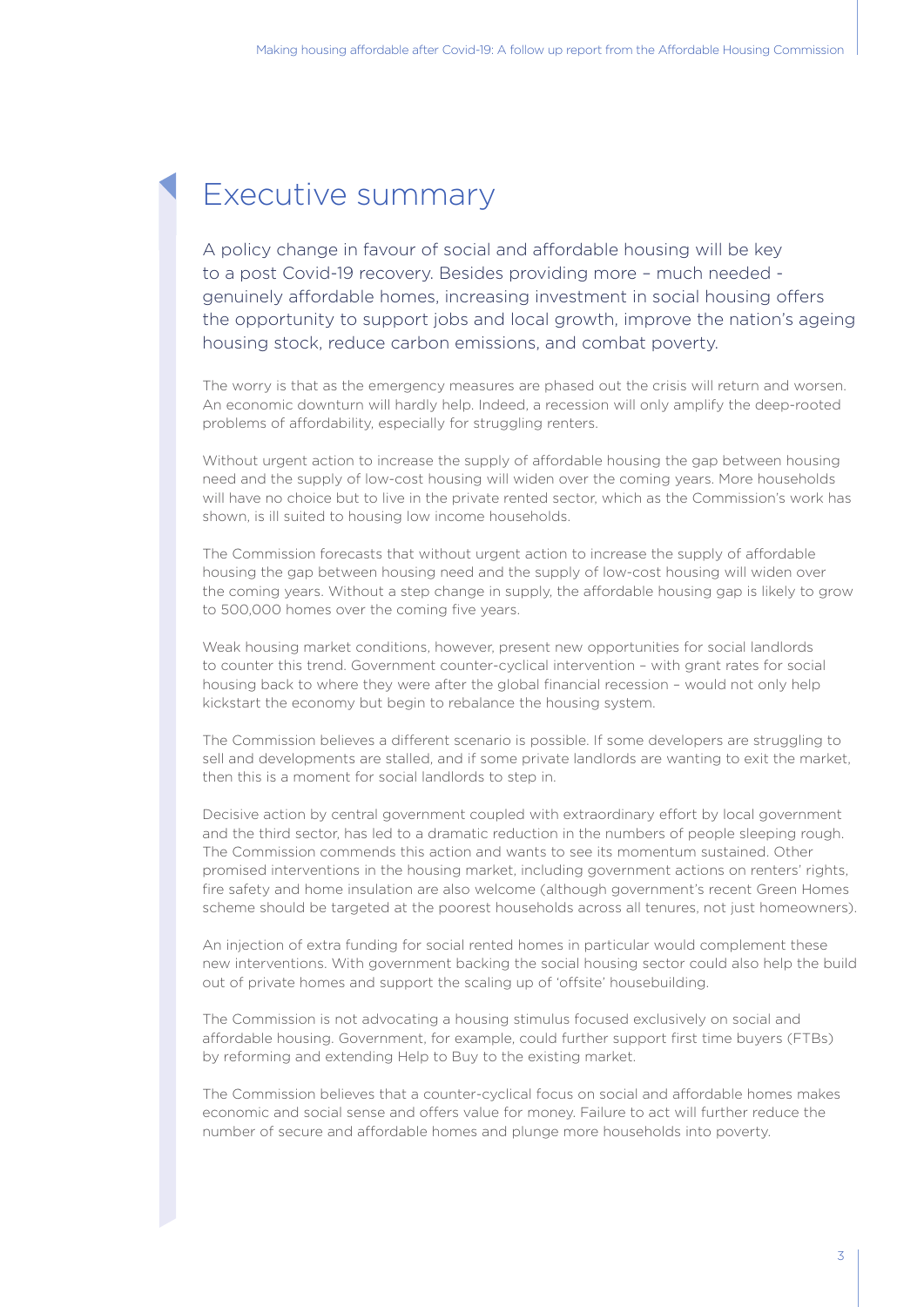#### Executive summary

A policy change in favour of social and affordable housing will be key to a post Covid-19 recovery. Besides providing more – much needed genuinely affordable homes, increasing investment in social housing offers the opportunity to support jobs and local growth, improve the nation's ageing housing stock, reduce carbon emissions, and combat poverty.

The worry is that as the emergency measures are phased out the crisis will return and worsen. An economic downturn will hardly help. Indeed, a recession will only amplify the deep-rooted problems of affordability, especially for struggling renters.

Without urgent action to increase the supply of affordable housing the gap between housing need and the supply of low-cost housing will widen over the coming years. More households will have no choice but to live in the private rented sector, which as the Commission's work has shown, is ill suited to housing low income households.

The Commission forecasts that without urgent action to increase the supply of affordable housing the gap between housing need and the supply of low-cost housing will widen over the coming years. Without a step change in supply, the affordable housing gap is likely to grow to 500,000 homes over the coming five years.

Weak housing market conditions, however, present new opportunities for social landlords to counter this trend. Government counter-cyclical intervention – with grant rates for social housing back to where they were after the global financial recession – would not only help kickstart the economy but begin to rebalance the housing system.

The Commission believes a different scenario is possible. If some developers are struggling to sell and developments are stalled, and if some private landlords are wanting to exit the market, then this is a moment for social landlords to step in.

Decisive action by central government coupled with extraordinary effort by local government and the third sector, has led to a dramatic reduction in the numbers of people sleeping rough. The Commission commends this action and wants to see its momentum sustained. Other promised interventions in the housing market, including government actions on renters' rights, fire safety and home insulation are also welcome (although government's recent Green Homes scheme should be targeted at the poorest households across all tenures, not just homeowners).

An injection of extra funding for social rented homes in particular would complement these new interventions. With government backing the social housing sector could also help the build out of private homes and support the scaling up of 'offsite' housebuilding.

The Commission is not advocating a housing stimulus focused exclusively on social and affordable housing. Government, for example, could further support first time buyers (FTBs) by reforming and extending Help to Buy to the existing market.

The Commission believes that a counter-cyclical focus on social and affordable homes makes economic and social sense and offers value for money. Failure to act will further reduce the number of secure and affordable homes and plunge more households into poverty.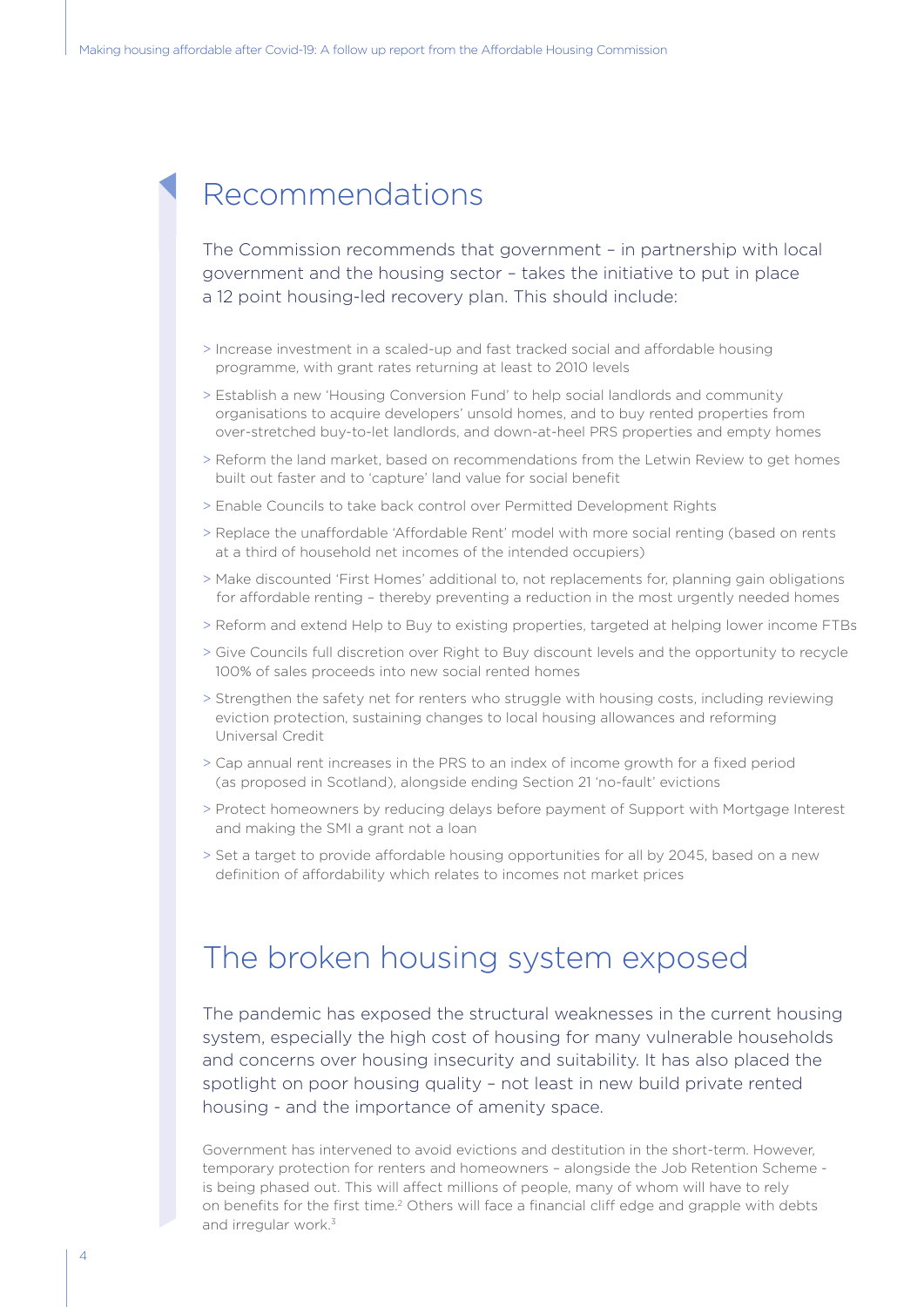#### Recommendations

The Commission recommends that government – in partnership with local government and the housing sector – takes the initiative to put in place a 12 point housing-led recovery plan. This should include:

- > Increase investment in a scaled-up and fast tracked social and affordable housing programme, with grant rates returning at least to 2010 levels
- > Establish a new 'Housing Conversion Fund' to help social landlords and community organisations to acquire developers' unsold homes, and to buy rented properties from over-stretched buy-to-let landlords, and down-at-heel PRS properties and empty homes
- > Reform the land market, based on recommendations from the Letwin Review to get homes built out faster and to 'capture' land value for social benefit
- > Enable Councils to take back control over Permitted Development Rights
- > Replace the unaffordable 'Affordable Rent' model with more social renting (based on rents at a third of household net incomes of the intended occupiers)
- > Make discounted 'First Homes' additional to, not replacements for, planning gain obligations for affordable renting – thereby preventing a reduction in the most urgently needed homes
- > Reform and extend Help to Buy to existing properties, targeted at helping lower income FTBs
- > Give Councils full discretion over Right to Buy discount levels and the opportunity to recycle 100% of sales proceeds into new social rented homes
- > Strengthen the safety net for renters who struggle with housing costs, including reviewing eviction protection, sustaining changes to local housing allowances and reforming Universal Credit
- > Cap annual rent increases in the PRS to an index of income growth for a fixed period (as proposed in Scotland), alongside ending Section 21 'no-fault' evictions
- > Protect homeowners by reducing delays before payment of Support with Mortgage Interest and making the SMI a grant not a loan
- > Set a target to provide affordable housing opportunities for all by 2045, based on a new definition of affordability which relates to incomes not market prices

#### The broken housing system exposed

The pandemic has exposed the structural weaknesses in the current housing system, especially the high cost of housing for many vulnerable households and concerns over housing insecurity and suitability. It has also placed the spotlight on poor housing quality – not least in new build private rented housing - and the importance of amenity space.

Government has intervened to avoid evictions and destitution in the short-term. However, temporary protection for renters and homeowners – alongside the Job Retention Scheme is being phased out. This will affect millions of people, many of whom will have to rely on benefits for the first time.2 Others will face a financial cliff edge and grapple with debts and irregular work.<sup>3</sup>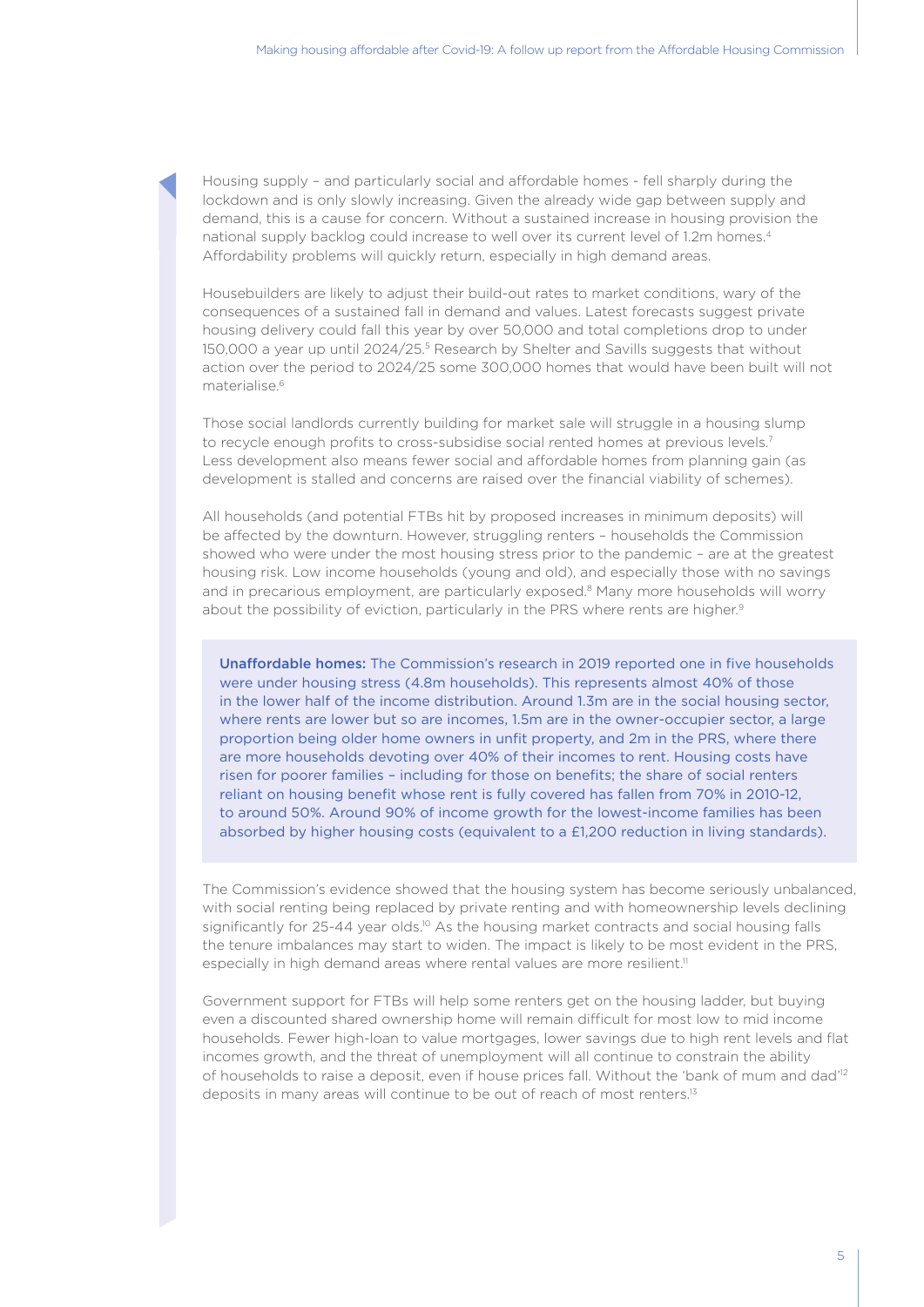Housing supply – and particularly social and affordable homes - fell sharply during the lockdown and is only slowly increasing. Given the already wide gap between supply and demand, this is a cause for concern. Without a sustained increase in housing provision the national supply backlog could increase to well over its current level of 1.2m homes.4 Affordability problems will quickly return, especially in high demand areas.

Housebuilders are likely to adjust their build-out rates to market conditions, wary of the consequences of a sustained fall in demand and values. Latest forecasts suggest private housing delivery could fall this year by over 50,000 and total completions drop to under 150,000 a year up until 2024/25.5 Research by Shelter and Savills suggests that without action over the period to 2024/25 some 300,000 homes that would have been built will not materialise.6

Those social landlords currently building for market sale will struggle in a housing slump to recycle enough profits to cross-subsidise social rented homes at previous levels.7 Less development also means fewer social and affordable homes from planning gain (as development is stalled and concerns are raised over the financial viability of schemes).

All households (and potential FTBs hit by proposed increases in minimum deposits) will be affected by the downturn. However, struggling renters – households the Commission showed who were under the most housing stress prior to the pandemic – are at the greatest housing risk. Low income households (young and old), and especially those with no savings and in precarious employment, are particularly exposed.<sup>8</sup> Many more households will worry about the possibility of eviction, particularly in the PRS where rents are higher.<sup>9</sup>

Unaffordable homes: The Commission's research in 2019 reported one in five households were under housing stress (4.8m households). This represents almost 40% of those in the lower half of the income distribution. Around 1.3m are in the social housing sector, where rents are lower but so are incomes, 1.5m are in the owner-occupier sector, a large proportion being older home owners in unfit property, and 2m in the PRS, where there are more households devoting over 40% of their incomes to rent. Housing costs have risen for poorer families – including for those on benefits; the share of social renters reliant on housing benefit whose rent is fully covered has fallen from 70% in 2010-12, to around 50%. Around 90% of income growth for the lowest-income families has been absorbed by higher housing costs (equivalent to a £1,200 reduction in living standards).

The Commission's evidence showed that the housing system has become seriously unbalanced, with social renting being replaced by private renting and with homeownership levels declining significantly for 25-44 year olds.<sup>10</sup> As the housing market contracts and social housing falls the tenure imbalances may start to widen. The impact is likely to be most evident in the PRS, especially in high demand areas where rental values are more resilient.<sup>11</sup>

Government support for FTBs will help some renters get on the housing ladder, but buying even a discounted shared ownership home will remain difficult for most low to mid income households. Fewer high-loan to value mortgages, lower savings due to high rent levels and flat incomes growth, and the threat of unemployment will all continue to constrain the ability of households to raise a deposit, even if house prices fall. Without the 'bank of mum and dad'12 deposits in many areas will continue to be out of reach of most renters.13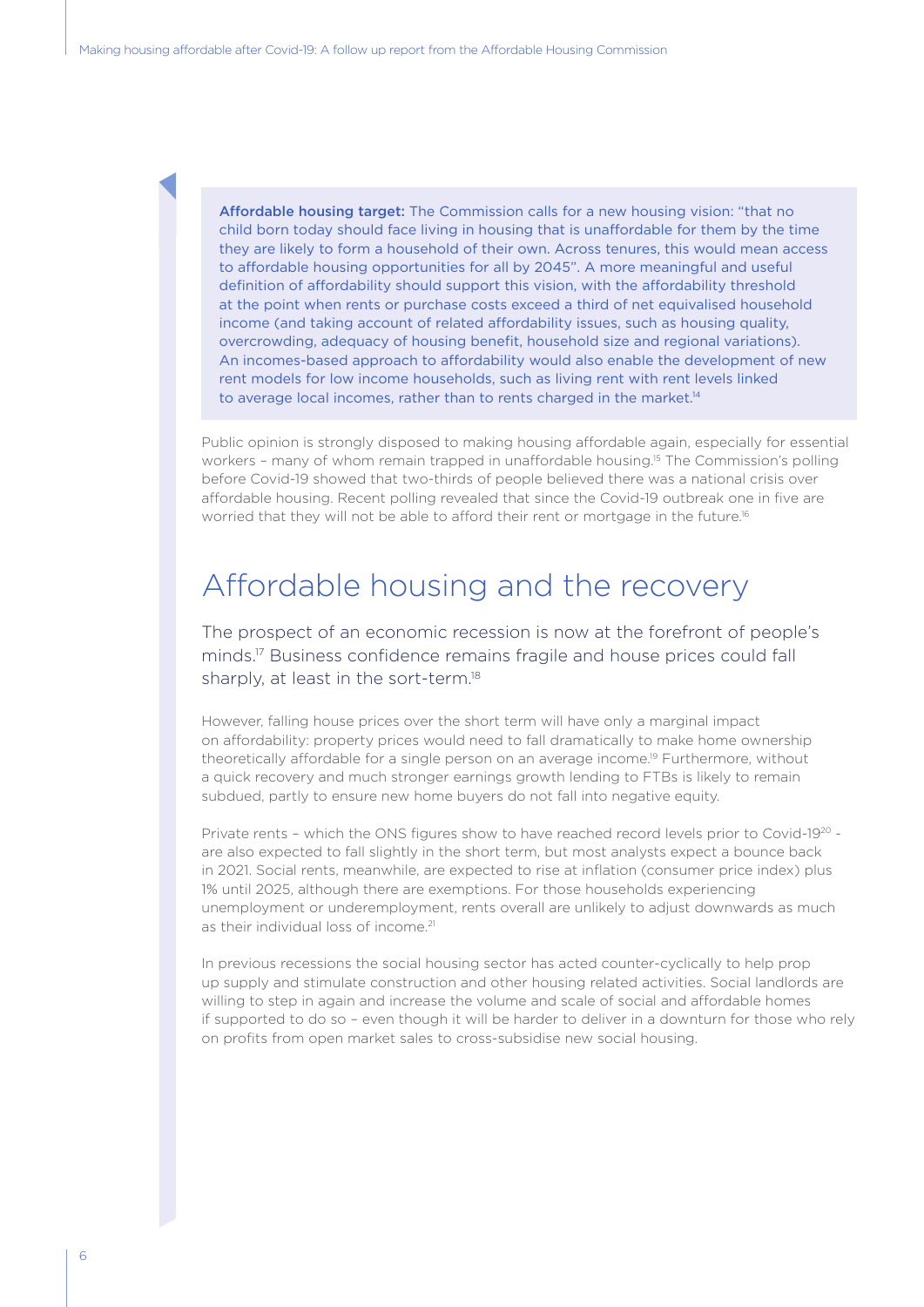Affordable housing target: The Commission calls for a new housing vision: "that no child born today should face living in housing that is unaffordable for them by the time they are likely to form a household of their own. Across tenures, this would mean access to affordable housing opportunities for all by 2045". A more meaningful and useful definition of affordability should support this vision, with the affordability threshold at the point when rents or purchase costs exceed a third of net equivalised household income (and taking account of related affordability issues, such as housing quality, overcrowding, adequacy of housing benefit, household size and regional variations). An incomes-based approach to affordability would also enable the development of new rent models for low income households, such as living rent with rent levels linked to average local incomes, rather than to rents charged in the market.<sup>14</sup>

Public opinion is strongly disposed to making housing affordable again, especially for essential workers - many of whom remain trapped in unaffordable housing.<sup>15</sup> The Commission's polling before Covid-19 showed that two-thirds of people believed there was a national crisis over affordable housing. Recent polling revealed that since the Covid-19 outbreak one in five are worried that they will not be able to afford their rent or mortgage in the future.<sup>16</sup>

#### Affordable housing and the recovery

The prospect of an economic recession is now at the forefront of people's minds.17 Business confidence remains fragile and house prices could fall sharply, at least in the sort-term.<sup>18</sup>

However, falling house prices over the short term will have only a marginal impact on affordability: property prices would need to fall dramatically to make home ownership theoretically affordable for a single person on an average income.19 Furthermore, without a quick recovery and much stronger earnings growth lending to FTBs is likely to remain subdued, partly to ensure new home buyers do not fall into negative equity.

Private rents – which the ONS figures show to have reached record levels prior to Covid-1920 are also expected to fall slightly in the short term, but most analysts expect a bounce back in 2021. Social rents, meanwhile, are expected to rise at inflation (consumer price index) plus 1% until 2025, although there are exemptions. For those households experiencing unemployment or underemployment, rents overall are unlikely to adjust downwards as much as their individual loss of income.<sup>21</sup>

In previous recessions the social housing sector has acted counter-cyclically to help prop up supply and stimulate construction and other housing related activities. Social landlords are willing to step in again and increase the volume and scale of social and affordable homes if supported to do so – even though it will be harder to deliver in a downturn for those who rely on profits from open market sales to cross-subsidise new social housing.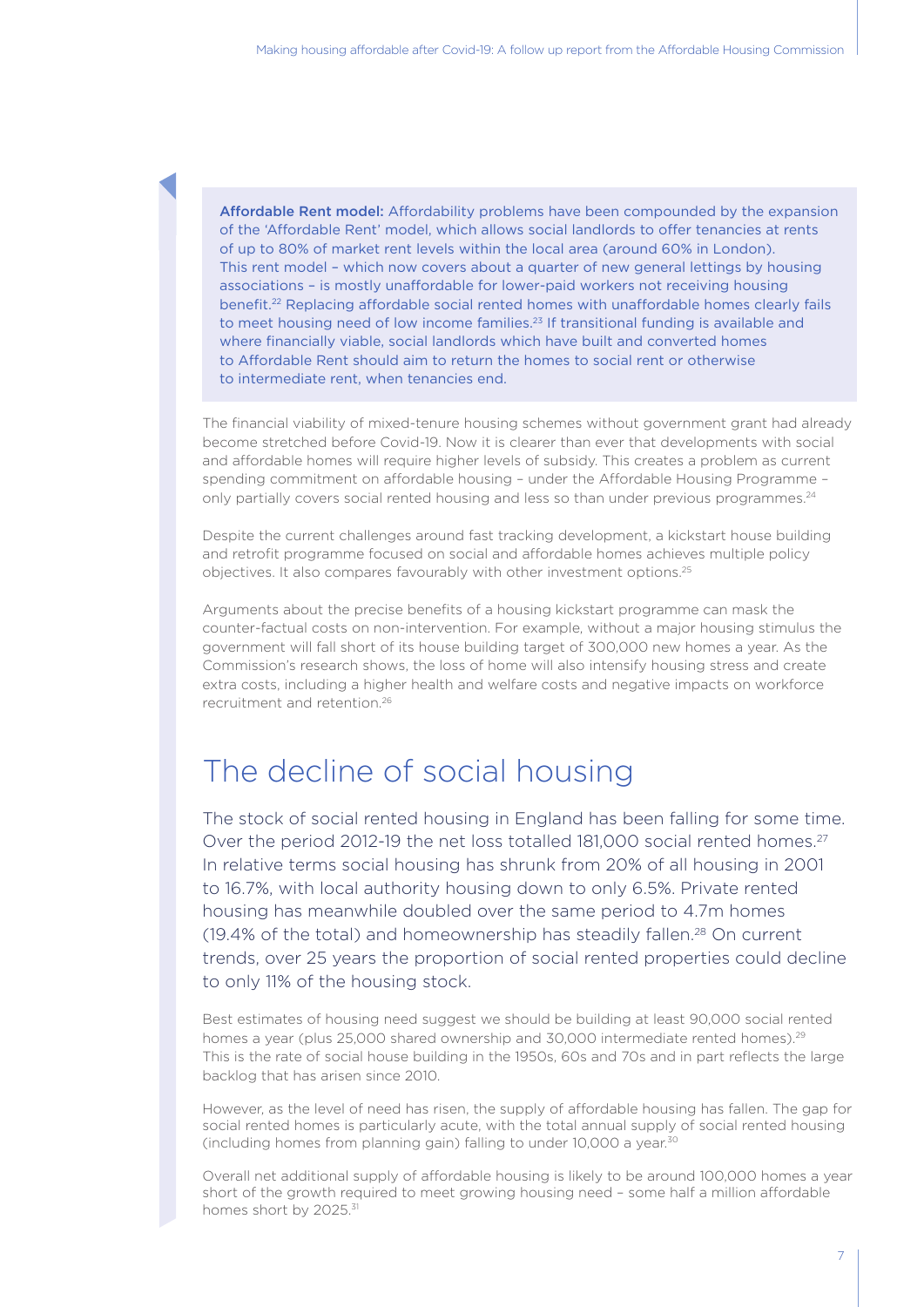Affordable Rent model: Affordability problems have been compounded by the expansion of the 'Affordable Rent' model, which allows social landlords to offer tenancies at rents of up to 80% of market rent levels within the local area (around 60% in London). This rent model – which now covers about a quarter of new general lettings by housing associations – is mostly unaffordable for lower-paid workers not receiving housing benefit.<sup>22</sup> Replacing affordable social rented homes with unaffordable homes clearly fails to meet housing need of low income families.<sup>23</sup> If transitional funding is available and where financially viable, social landlords which have built and converted homes to Affordable Rent should aim to return the homes to social rent or otherwise to intermediate rent, when tenancies end.

The financial viability of mixed-tenure housing schemes without government grant had already become stretched before Covid-19. Now it is clearer than ever that developments with social and affordable homes will require higher levels of subsidy. This creates a problem as current spending commitment on affordable housing – under the Affordable Housing Programme – only partially covers social rented housing and less so than under previous programmes.<sup>24</sup>

Despite the current challenges around fast tracking development, a kickstart house building and retrofit programme focused on social and affordable homes achieves multiple policy objectives. It also compares favourably with other investment options.25

Arguments about the precise benefits of a housing kickstart programme can mask the counter-factual costs on non-intervention. For example, without a major housing stimulus the government will fall short of its house building target of 300,000 new homes a year. As the Commission's research shows, the loss of home will also intensify housing stress and create extra costs, including a higher health and welfare costs and negative impacts on workforce recruitment and retention.<sup>26</sup>

#### The decline of social housing

The stock of social rented housing in England has been falling for some time. Over the period 2012-19 the net loss totalled 181,000 social rented homes.<sup>27</sup> In relative terms social housing has shrunk from 20% of all housing in 2001 to 16.7%, with local authority housing down to only 6.5%. Private rented housing has meanwhile doubled over the same period to 4.7m homes (19.4% of the total) and homeownership has steadily fallen.28 On current trends, over 25 years the proportion of social rented properties could decline to only 11% of the housing stock.

Best estimates of housing need suggest we should be building at least 90,000 social rented homes a year (plus 25,000 shared ownership and 30,000 intermediate rented homes).<sup>29</sup> This is the rate of social house building in the 1950s, 60s and 70s and in part reflects the large backlog that has arisen since 2010.

However, as the level of need has risen, the supply of affordable housing has fallen. The gap for social rented homes is particularly acute, with the total annual supply of social rented housing (including homes from planning gain) falling to under 10,000 a year.30

Overall net additional supply of affordable housing is likely to be around 100,000 homes a year short of the growth required to meet growing housing need – some half a million affordable homes short by 2025.<sup>31</sup>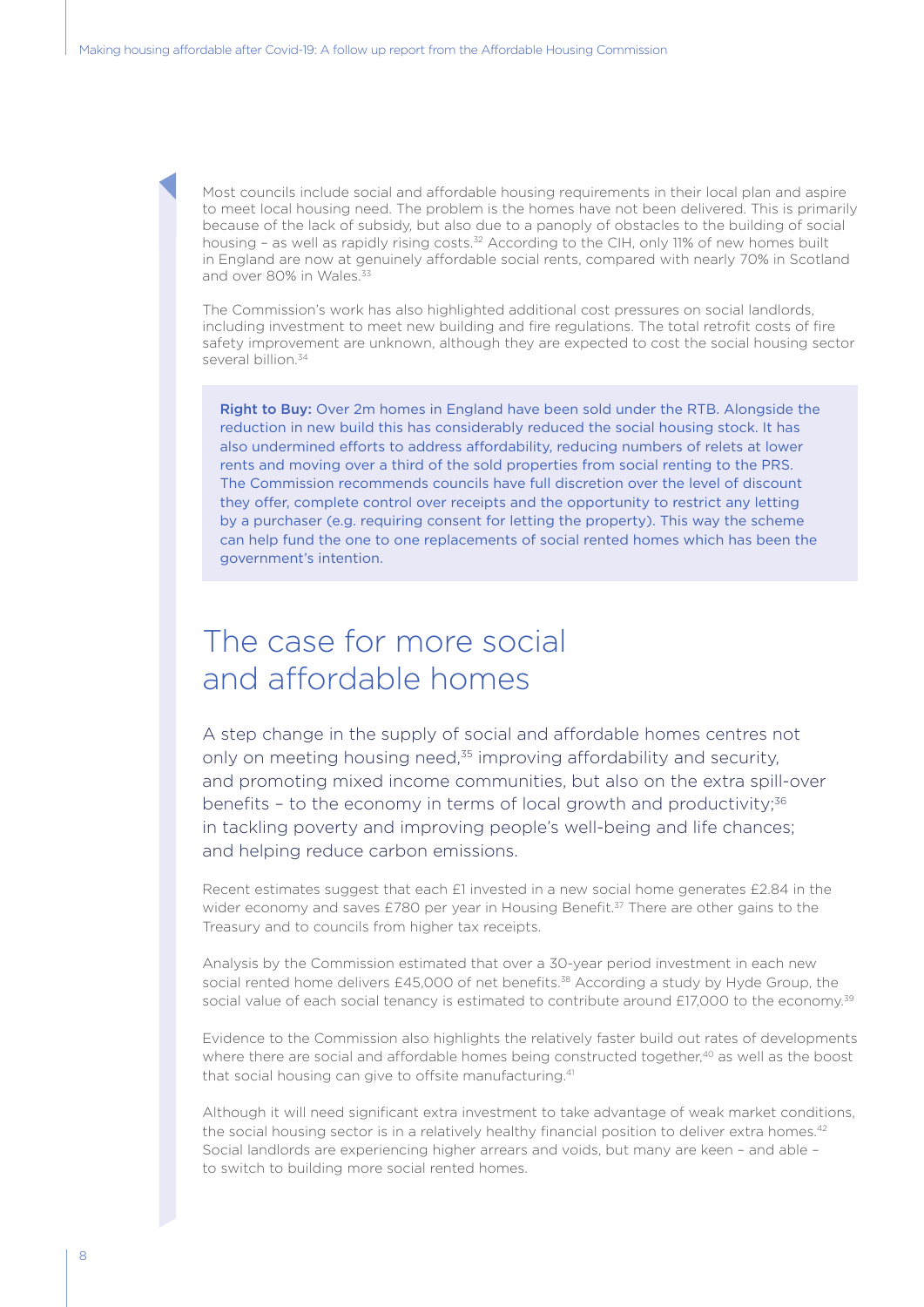Most councils include social and affordable housing requirements in their local plan and aspire to meet local housing need. The problem is the homes have not been delivered. This is primarily because of the lack of subsidy, but also due to a panoply of obstacles to the building of social housing - as well as rapidly rising costs.<sup>32</sup> According to the CIH, only 11% of new homes built in England are now at genuinely affordable social rents, compared with nearly 70% in Scotland and over 80% in Wales<sup>33</sup>

The Commission's work has also highlighted additional cost pressures on social landlords, including investment to meet new building and fire regulations. The total retrofit costs of fire safety improvement are unknown, although they are expected to cost the social housing sector several billion.<sup>34</sup>

Right to Buy: Over 2m homes in England have been sold under the RTB. Alongside the reduction in new build this has considerably reduced the social housing stock. It has also undermined efforts to address affordability, reducing numbers of relets at lower rents and moving over a third of the sold properties from social renting to the PRS. The Commission recommends councils have full discretion over the level of discount they offer, complete control over receipts and the opportunity to restrict any letting by a purchaser (e.g. requiring consent for letting the property). This way the scheme can help fund the one to one replacements of social rented homes which has been the government's intention.

#### The case for more social and affordable homes

A step change in the supply of social and affordable homes centres not only on meeting housing need,<sup>35</sup> improving affordability and security, and promoting mixed income communities, but also on the extra spill-over benefits - to the economy in terms of local growth and productivity;<sup>36</sup> in tackling poverty and improving people's well-being and life chances; and helping reduce carbon emissions.

Recent estimates suggest that each £1 invested in a new social home generates £2.84 in the wider economy and saves £780 per year in Housing Benefit.<sup>37</sup> There are other gains to the Treasury and to councils from higher tax receipts.

Analysis by the Commission estimated that over a 30-year period investment in each new social rented home delivers £45,000 of net benefits.<sup>38</sup> According a study by Hyde Group, the social value of each social tenancy is estimated to contribute around £17,000 to the economy.<sup>39</sup>

Evidence to the Commission also highlights the relatively faster build out rates of developments where there are social and affordable homes being constructed together,<sup>40</sup> as well as the boost that social housing can give to offsite manufacturing.<sup>41</sup>

Although it will need significant extra investment to take advantage of weak market conditions, the social housing sector is in a relatively healthy financial position to deliver extra homes.<sup>42</sup> Social landlords are experiencing higher arrears and voids, but many are keen – and able – to switch to building more social rented homes.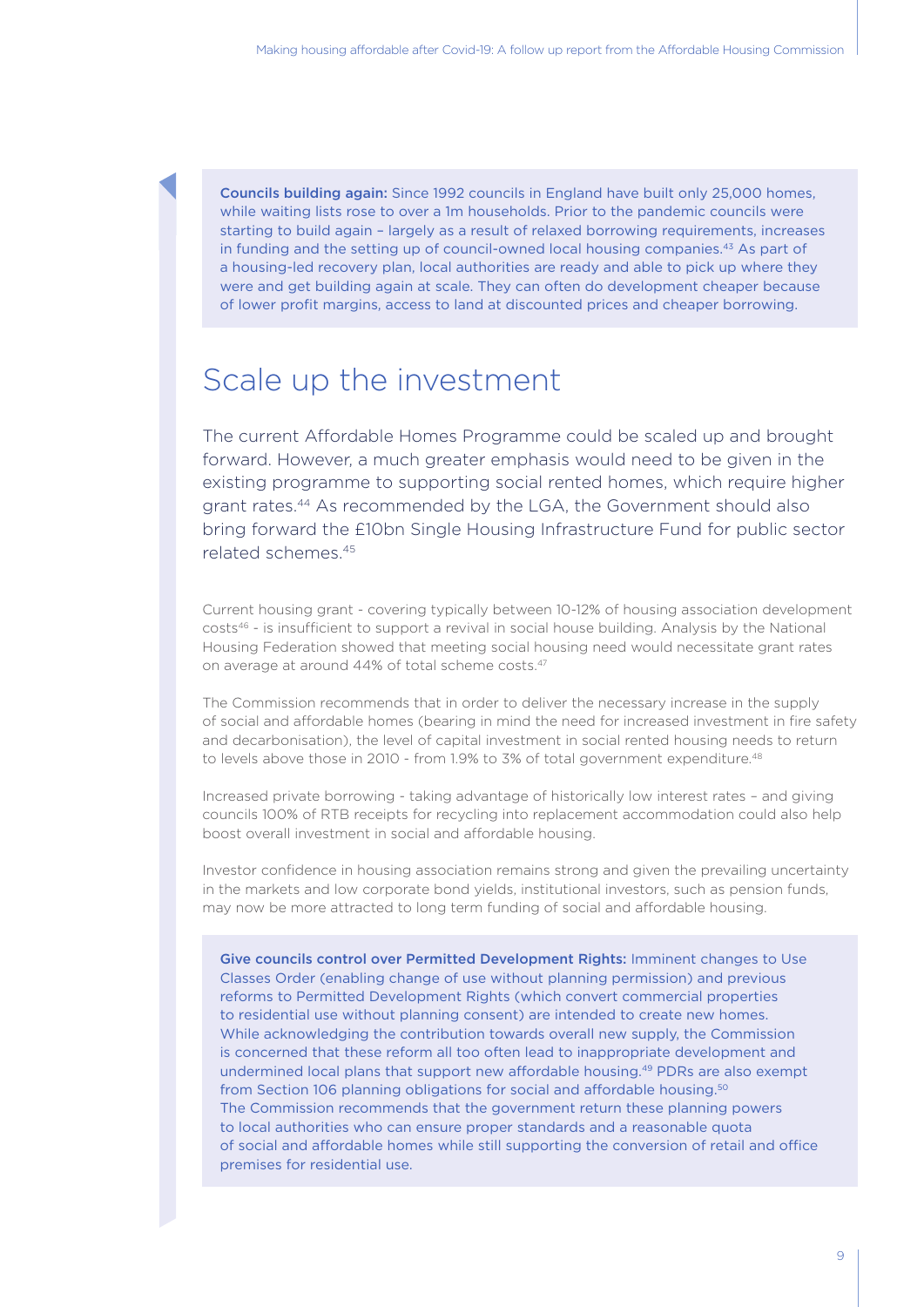Councils building again: Since 1992 councils in England have built only 25,000 homes, while waiting lists rose to over a 1m households. Prior to the pandemic councils were starting to build again – largely as a result of relaxed borrowing requirements, increases in funding and the setting up of council-owned local housing companies.43 As part of a housing-led recovery plan, local authorities are ready and able to pick up where they were and get building again at scale. They can often do development cheaper because of lower profit margins, access to land at discounted prices and cheaper borrowing.

#### Scale up the investment

The current Affordable Homes Programme could be scaled up and brought forward. However, a much greater emphasis would need to be given in the existing programme to supporting social rented homes, which require higher grant rates.44 As recommended by the LGA, the Government should also bring forward the £10bn Single Housing Infrastructure Fund for public sector related schemes.45

Current housing grant - covering typically between 10-12% of housing association development costs46 - is insufficient to support a revival in social house building. Analysis by the National Housing Federation showed that meeting social housing need would necessitate grant rates on average at around 44% of total scheme costs.47

The Commission recommends that in order to deliver the necessary increase in the supply of social and affordable homes (bearing in mind the need for increased investment in fire safety and decarbonisation), the level of capital investment in social rented housing needs to return to levels above those in 2010 - from 1.9% to 3% of total government expenditure.<sup>48</sup>

Increased private borrowing - taking advantage of historically low interest rates – and giving councils 100% of RTB receipts for recycling into replacement accommodation could also help boost overall investment in social and affordable housing.

Investor confidence in housing association remains strong and given the prevailing uncertainty in the markets and low corporate bond yields, institutional investors, such as pension funds, may now be more attracted to long term funding of social and affordable housing.

Give councils control over Permitted Development Rights: Imminent changes to Use Classes Order (enabling change of use without planning permission) and previous reforms to Permitted Development Rights (which convert commercial properties to residential use without planning consent) are intended to create new homes. While acknowledging the contribution towards overall new supply, the Commission is concerned that these reform all too often lead to inappropriate development and undermined local plans that support new affordable housing.49 PDRs are also exempt from Section 106 planning obligations for social and affordable housing.50 The Commission recommends that the government return these planning powers to local authorities who can ensure proper standards and a reasonable quota of social and affordable homes while still supporting the conversion of retail and office premises for residential use.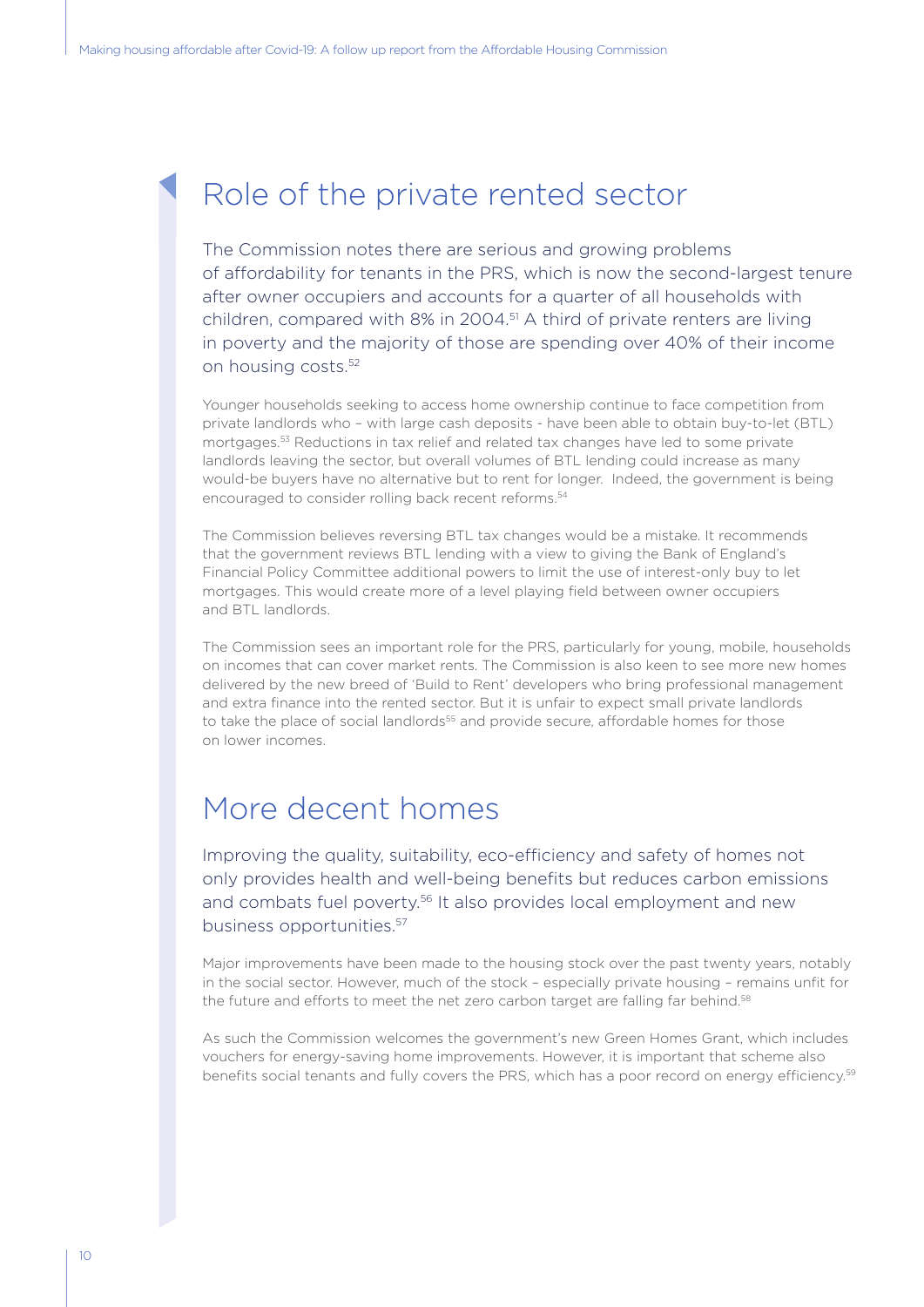#### Role of the private rented sector

The Commission notes there are serious and growing problems of affordability for tenants in the PRS, which is now the second-largest tenure after owner occupiers and accounts for a quarter of all households with children, compared with 8% in 2004.51 A third of private renters are living in poverty and the majority of those are spending over 40% of their income on housing costs.52

Younger households seeking to access home ownership continue to face competition from private landlords who – with large cash deposits - have been able to obtain buy-to-let (BTL) mortgages.53 Reductions in tax relief and related tax changes have led to some private landlords leaving the sector, but overall volumes of BTL lending could increase as many would-be buyers have no alternative but to rent for longer. Indeed, the government is being encouraged to consider rolling back recent reforms.<sup>54</sup>

The Commission believes reversing BTL tax changes would be a mistake. It recommends that the government reviews BTL lending with a view to giving the Bank of England's Financial Policy Committee additional powers to limit the use of interest-only buy to let mortgages. This would create more of a level playing field between owner occupiers and BTL landlords.

The Commission sees an important role for the PRS, particularly for young, mobile, households on incomes that can cover market rents. The Commission is also keen to see more new homes delivered by the new breed of 'Build to Rent' developers who bring professional management and extra finance into the rented sector. But it is unfair to expect small private landlords to take the place of social landlords<sup>55</sup> and provide secure, affordable homes for those on lower incomes.

#### More decent homes

Improving the quality, suitability, eco-efficiency and safety of homes not only provides health and well-being benefits but reduces carbon emissions and combats fuel poverty.<sup>56</sup> It also provides local employment and new business opportunities.57

Major improvements have been made to the housing stock over the past twenty years, notably in the social sector. However, much of the stock – especially private housing – remains unfit for the future and efforts to meet the net zero carbon target are falling far behind.<sup>58</sup>

As such the Commission welcomes the government's new Green Homes Grant, which includes vouchers for energy-saving home improvements. However, it is important that scheme also benefits social tenants and fully covers the PRS, which has a poor record on energy efficiency.<sup>59</sup>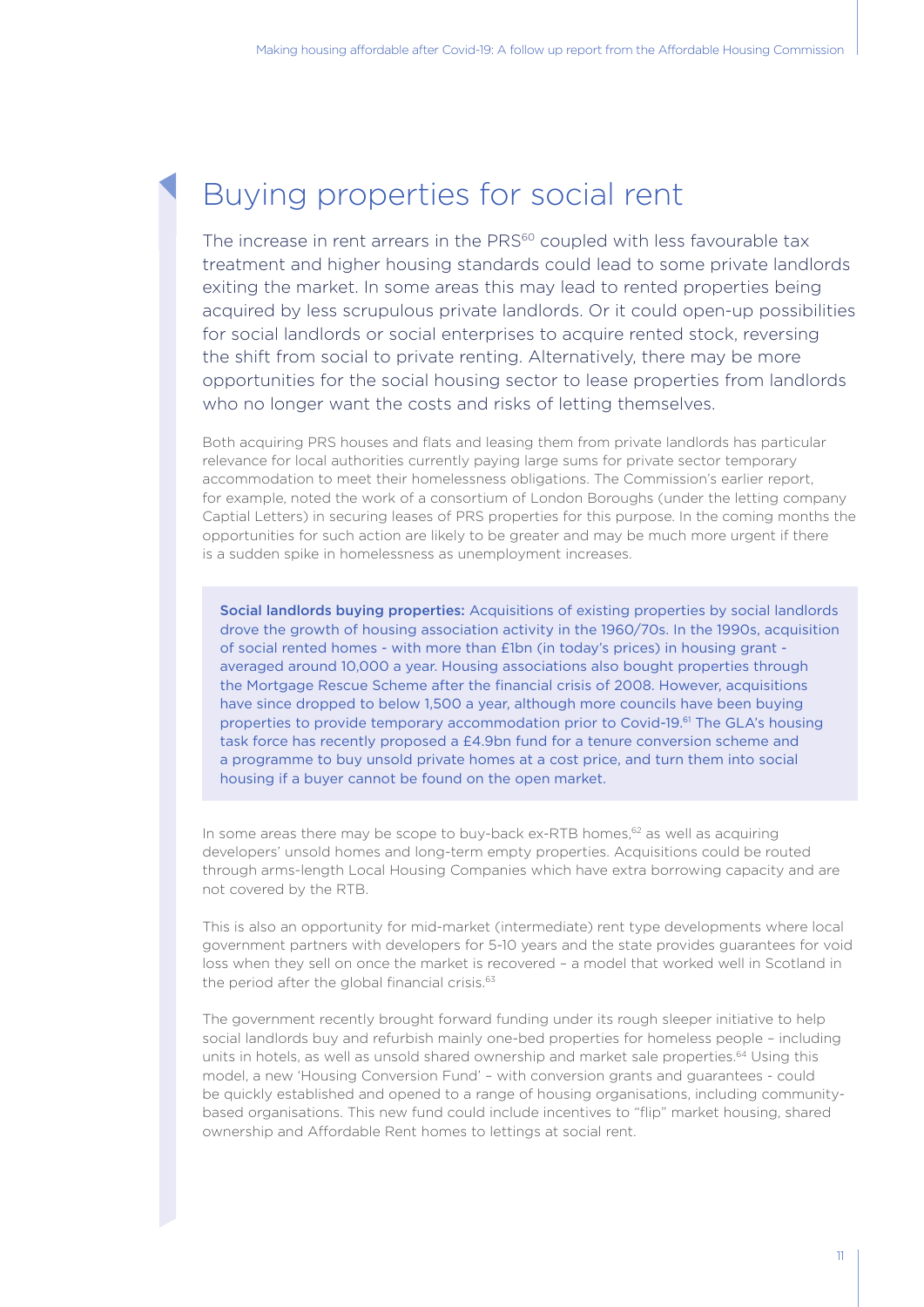#### Buying properties for social rent

The increase in rent arrears in the PRS<sup>60</sup> coupled with less favourable tax treatment and higher housing standards could lead to some private landlords exiting the market. In some areas this may lead to rented properties being acquired by less scrupulous private landlords. Or it could open-up possibilities for social landlords or social enterprises to acquire rented stock, reversing the shift from social to private renting. Alternatively, there may be more opportunities for the social housing sector to lease properties from landlords who no longer want the costs and risks of letting themselves.

Both acquiring PRS houses and flats and leasing them from private landlords has particular relevance for local authorities currently paying large sums for private sector temporary accommodation to meet their homelessness obligations. The Commission's earlier report, for example, noted the work of a consortium of London Boroughs (under the letting company Captial Letters) in securing leases of PRS properties for this purpose. In the coming months the opportunities for such action are likely to be greater and may be much more urgent if there is a sudden spike in homelessness as unemployment increases.

Social landlords buying properties: Acquisitions of existing properties by social landlords drove the growth of housing association activity in the 1960/70s. In the 1990s, acquisition of social rented homes - with more than £1bn (in today's prices) in housing grant averaged around 10,000 a year. Housing associations also bought properties through the Mortgage Rescue Scheme after the financial crisis of 2008. However, acquisitions have since dropped to below 1,500 a year, although more councils have been buying properties to provide temporary accommodation prior to Covid-19.61 The GLA's housing task force has recently proposed a £4.9bn fund for a tenure conversion scheme and a programme to buy unsold private homes at a cost price, and turn them into social housing if a buyer cannot be found on the open market.

In some areas there may be scope to buy-back ex-RTB homes,<sup>62</sup> as well as acquiring developers' unsold homes and long-term empty properties. Acquisitions could be routed through arms-length Local Housing Companies which have extra borrowing capacity and are not covered by the RTB.

This is also an opportunity for mid-market (intermediate) rent type developments where local government partners with developers for 5-10 years and the state provides guarantees for void loss when they sell on once the market is recovered – a model that worked well in Scotland in the period after the global financial crisis.<sup>63</sup>

The government recently brought forward funding under its rough sleeper initiative to help social landlords buy and refurbish mainly one-bed properties for homeless people – including units in hotels, as well as unsold shared ownership and market sale properties.<sup>64</sup> Using this model, a new 'Housing Conversion Fund' – with conversion grants and guarantees - could be quickly established and opened to a range of housing organisations, including communitybased organisations. This new fund could include incentives to "flip" market housing, shared ownership and Affordable Rent homes to lettings at social rent.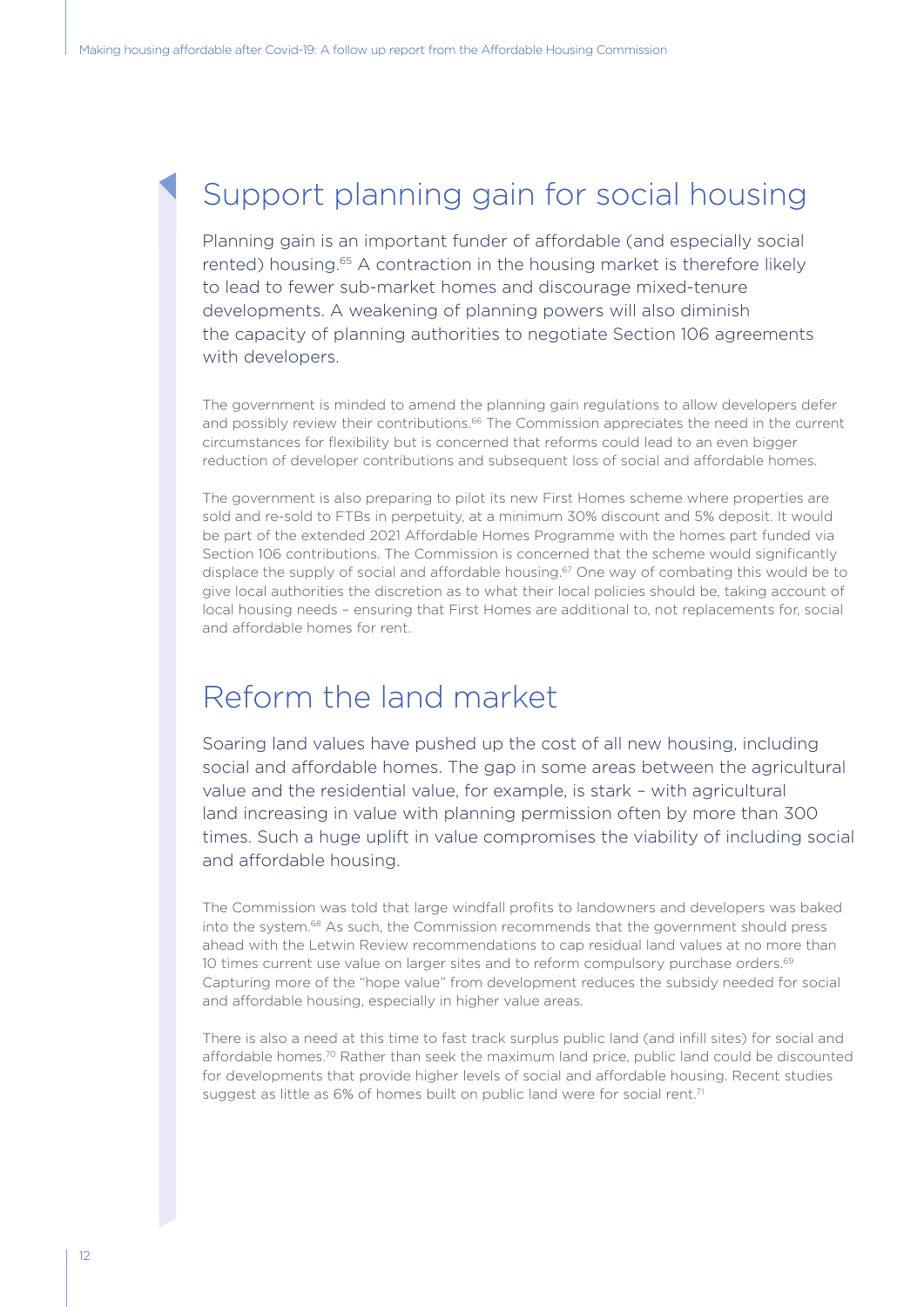### Support planning gain for social housing

Planning gain is an important funder of affordable (and especially social rented) housing.<sup>65</sup> A contraction in the housing market is therefore likely to lead to fewer sub-market homes and discourage mixed-tenure developments. A weakening of planning powers will also diminish the capacity of planning authorities to negotiate Section 106 agreements with developers.

The government is minded to amend the planning gain regulations to allow developers defer and possibly review their contributions.<sup>66</sup> The Commission appreciates the need in the current circumstances for flexibility but is concerned that reforms could lead to an even bigger reduction of developer contributions and subsequent loss of social and affordable homes.

The government is also preparing to pilot its new First Homes scheme where properties are sold and re-sold to FTBs in perpetuity, at a minimum 30% discount and 5% deposit. It would be part of the extended 2021 Affordable Homes Programme with the homes part funded via Section 106 contributions. The Commission is concerned that the scheme would significantly displace the supply of social and affordable housing.<sup>67</sup> One way of combating this would be to give local authorities the discretion as to what their local policies should be, taking account of local housing needs – ensuring that First Homes are additional to, not replacements for, social and affordable homes for rent.

#### Reform the land market

Soaring land values have pushed up the cost of all new housing, including social and affordable homes. The gap in some areas between the agricultural value and the residential value, for example, is stark – with agricultural land increasing in value with planning permission often by more than 300 times. Such a huge uplift in value compromises the viability of including social and affordable housing.

The Commission was told that large windfall profits to landowners and developers was baked into the system.68 As such, the Commission recommends that the government should press ahead with the Letwin Review recommendations to cap residual land values at no more than 10 times current use value on larger sites and to reform compulsory purchase orders.<sup>69</sup> Capturing more of the "hope value" from development reduces the subsidy needed for social and affordable housing, especially in higher value areas.

There is also a need at this time to fast track surplus public land (and infill sites) for social and affordable homes.70 Rather than seek the maximum land price, public land could be discounted for developments that provide higher levels of social and affordable housing. Recent studies suggest as little as 6% of homes built on public land were for social rent.<sup>71</sup>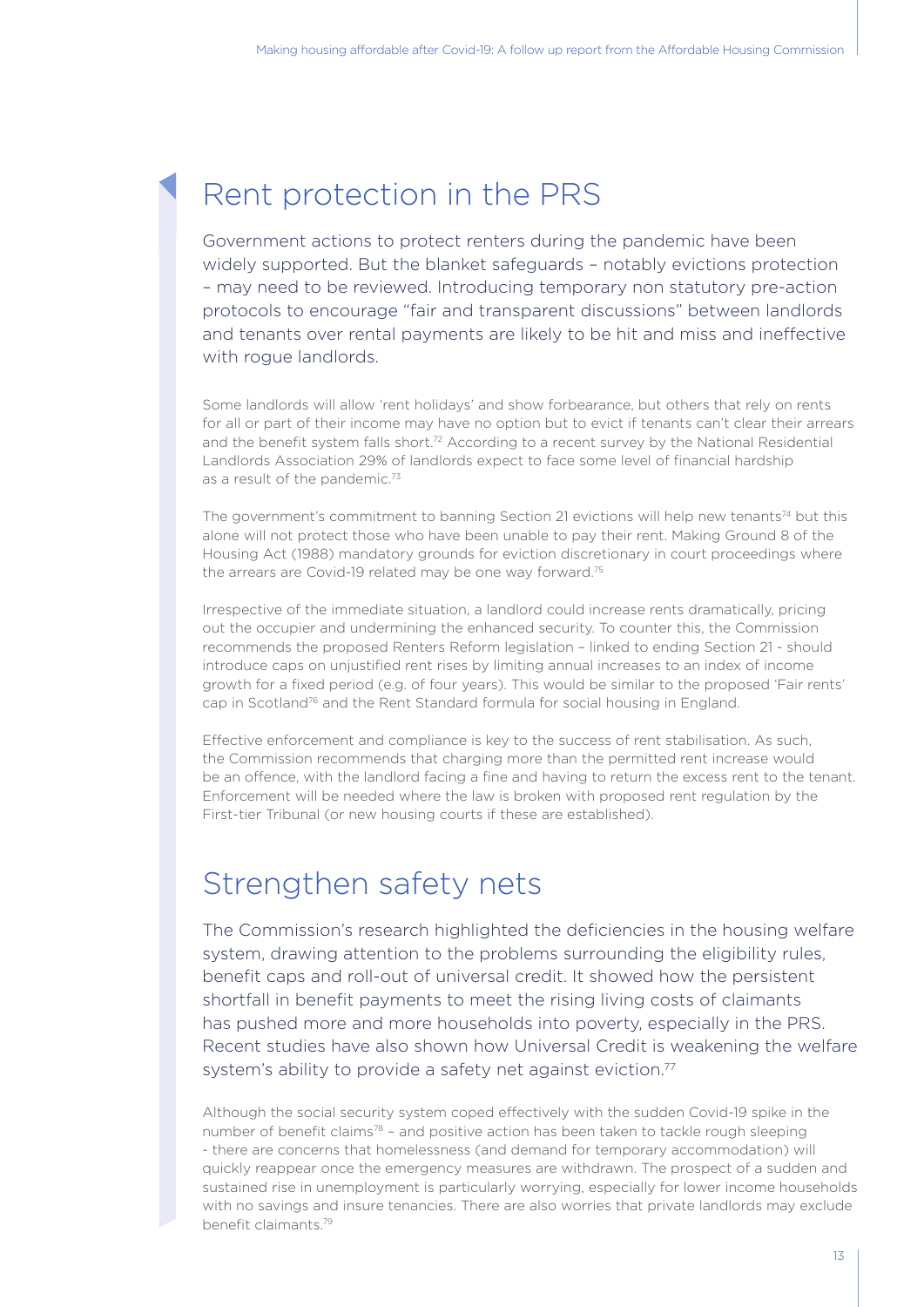#### Rent protection in the PRS

Government actions to protect renters during the pandemic have been widely supported. But the blanket safeguards – notably evictions protection – may need to be reviewed. Introducing temporary non statutory pre-action protocols to encourage "fair and transparent discussions" between landlords and tenants over rental payments are likely to be hit and miss and ineffective with roque landlords.

Some landlords will allow 'rent holidays' and show forbearance, but others that rely on rents for all or part of their income may have no option but to evict if tenants can't clear their arrears and the benefit system falls short.<sup>72</sup> According to a recent survey by the National Residential Landlords Association 29% of landlords expect to face some level of financial hardship as a result of the pandemic.<sup>73</sup>

The government's commitment to banning Section 21 evictions will help new tenants<sup>74</sup> but this alone will not protect those who have been unable to pay their rent. Making Ground 8 of the Housing Act (1988) mandatory grounds for eviction discretionary in court proceedings where the arrears are Covid-19 related may be one way forward.<sup>75</sup>

Irrespective of the immediate situation, a landlord could increase rents dramatically, pricing out the occupier and undermining the enhanced security. To counter this, the Commission recommends the proposed Renters Reform legislation – linked to ending Section 21 - should introduce caps on unjustified rent rises by limiting annual increases to an index of income growth for a fixed period (e.g. of four years). This would be similar to the proposed 'Fair rents' cap in Scotland<sup>76</sup> and the Rent Standard formula for social housing in England.

Effective enforcement and compliance is key to the success of rent stabilisation. As such, the Commission recommends that charging more than the permitted rent increase would be an offence, with the landlord facing a fine and having to return the excess rent to the tenant. Enforcement will be needed where the law is broken with proposed rent regulation by the First-tier Tribunal (or new housing courts if these are established).

#### Strengthen safety nets

The Commission's research highlighted the deficiencies in the housing welfare system, drawing attention to the problems surrounding the eligibility rules, benefit caps and roll-out of universal credit. It showed how the persistent shortfall in benefit payments to meet the rising living costs of claimants has pushed more and more households into poverty, especially in the PRS. Recent studies have also shown how Universal Credit is weakening the welfare system's ability to provide a safety net against eviction.<sup>77</sup>

Although the social security system coped effectively with the sudden Covid-19 spike in the number of benefit claims<sup>78</sup> – and positive action has been taken to tackle rough sleeping - there are concerns that homelessness (and demand for temporary accommodation) will quickly reappear once the emergency measures are withdrawn. The prospect of a sudden and sustained rise in unemployment is particularly worrying, especially for lower income households with no savings and insure tenancies. There are also worries that private landlords may exclude benefit claimants.79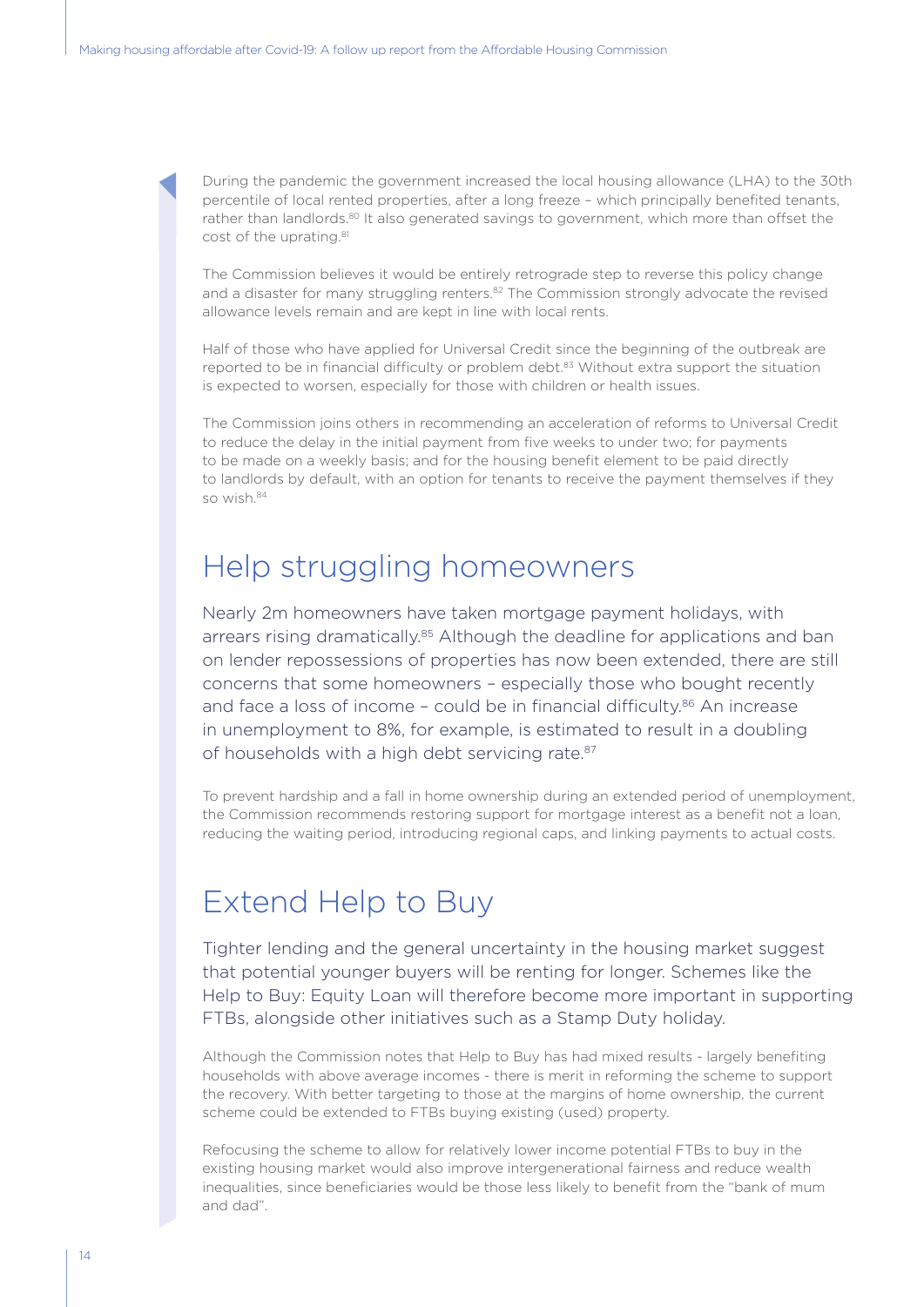During the pandemic the government increased the local housing allowance (LHA) to the 30th percentile of local rented properties, after a long freeze – which principally benefited tenants, rather than landlords.<sup>80</sup> It also generated savings to government, which more than offset the cost of the uprating.<sup>81</sup>

The Commission believes it would be entirely retrograde step to reverse this policy change and a disaster for many struggling renters.<sup>82</sup> The Commission strongly advocate the revised allowance levels remain and are kept in line with local rents.

Half of those who have applied for Universal Credit since the beginning of the outbreak are reported to be in financial difficulty or problem debt.<sup>83</sup> Without extra support the situation is expected to worsen, especially for those with children or health issues.

The Commission joins others in recommending an acceleration of reforms to Universal Credit to reduce the delay in the initial payment from five weeks to under two; for payments to be made on a weekly basis; and for the housing benefit element to be paid directly to landlords by default, with an option for tenants to receive the payment themselves if they so wish.84

#### Help struggling homeowners

Nearly 2m homeowners have taken mortgage payment holidays, with arrears rising dramatically.<sup>85</sup> Although the deadline for applications and ban on lender repossessions of properties has now been extended, there are still concerns that some homeowners – especially those who bought recently and face a loss of income - could be in financial difficulty.<sup>86</sup> An increase in unemployment to 8%, for example, is estimated to result in a doubling of households with a high debt servicing rate.<sup>87</sup>

To prevent hardship and a fall in home ownership during an extended period of unemployment, the Commission recommends restoring support for mortgage interest as a benefit not a loan, reducing the waiting period, introducing regional caps, and linking payments to actual costs.

#### Extend Help to Buy

Tighter lending and the general uncertainty in the housing market suggest that potential younger buyers will be renting for longer. Schemes like the Help to Buy: Equity Loan will therefore become more important in supporting FTBs, alongside other initiatives such as a Stamp Duty holiday.

Although the Commission notes that Help to Buy has had mixed results - largely benefiting households with above average incomes - there is merit in reforming the scheme to support the recovery. With better targeting to those at the margins of home ownership, the current scheme could be extended to FTBs buying existing (used) property.

Refocusing the scheme to allow for relatively lower income potential FTBs to buy in the existing housing market would also improve intergenerational fairness and reduce wealth inequalities, since beneficiaries would be those less likely to benefit from the "bank of mum and dad".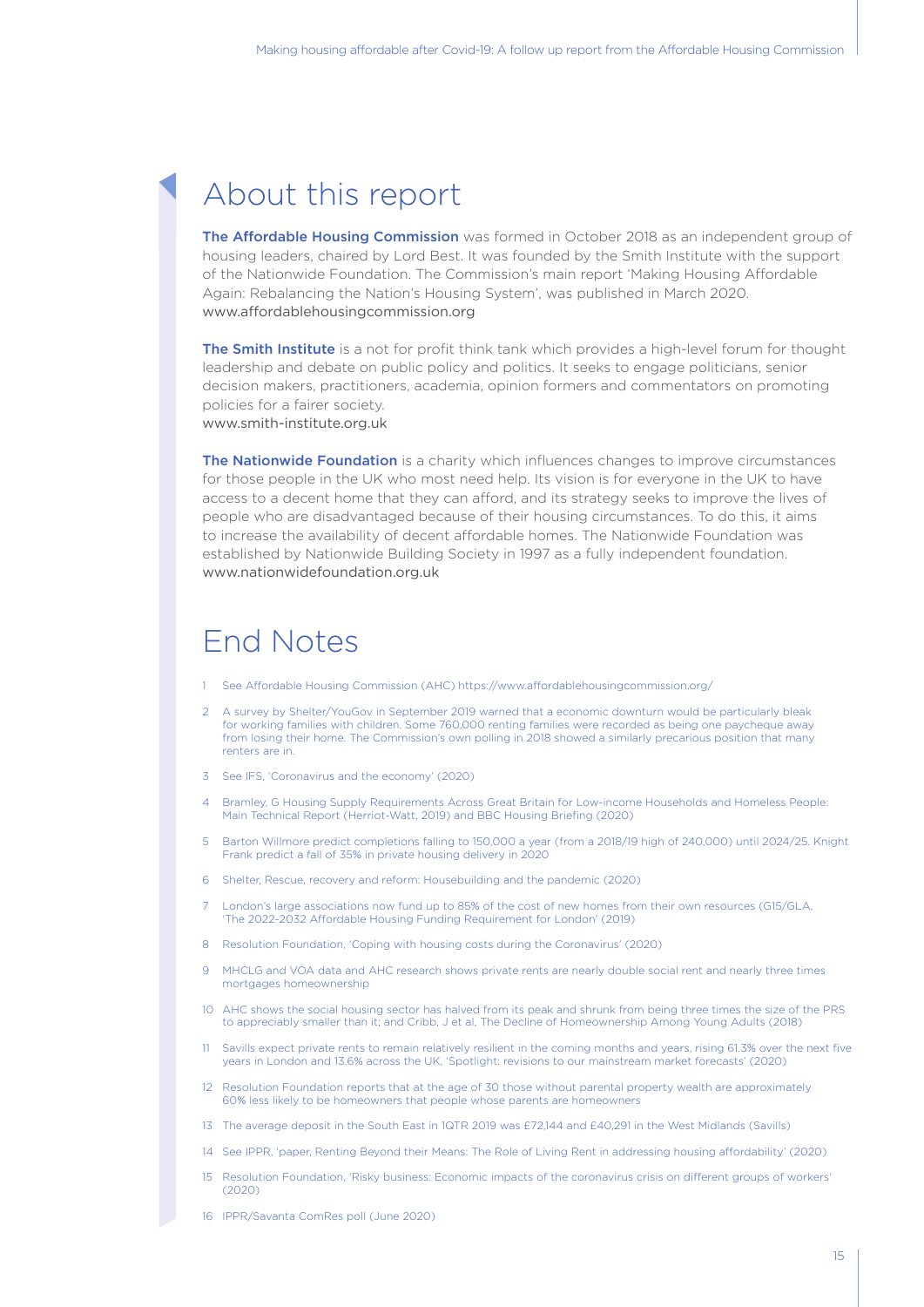#### About this report

The Affordable Housing Commission was formed in October 2018 as an independent group of housing leaders, chaired by Lord Best. It was founded by the Smith Institute with the support of the Nationwide Foundation. The Commission's main report 'Making Housing Affordable Again: Rebalancing the Nation's Housing System', was published in March 2020. www.affordablehousingcommission.org

The Smith Institute is a not for profit think tank which provides a high-level forum for thought leadership and debate on public policy and politics. It seeks to engage politicians, senior decision makers, practitioners, academia, opinion formers and commentators on promoting policies for a fairer society. www.smith-institute.org.uk

The Nationwide Foundation is a charity which influences changes to improve circumstances for those people in the UK who most need help. Its vision is for everyone in the UK to have access to a decent home that they can afford, and its strategy seeks to improve the lives of people who are disadvantaged because of their housing circumstances. To do this, it aims to increase the availability of decent affordable homes. The Nationwide Foundation was established by Nationwide Building Society in 1997 as a fully independent foundation. www.nationwidefoundation.org.uk

#### End Notes

- 1 See Affordable Housing Commission (AHC) https://www.affordablehousingcommission.org/
- 2 A survey by Shelter/YouGov in September 2019 warned that a economic downturn would be particularly bleak for working families with children. Some 760,000 renting families were recorded as being one paycheque away from losing their home. The Commission's own polling in 2018 showed a similarly precarious position that many renters are in.
- 3 See IFS, 'Coronavirus and the economy' (2020)
- 4 Bramley, G Housing Supply Requirements Across Great Britain for Low-income Households and Homeless People: Main Technical Report (Herriot-Watt, 2019) and BBC Housing Briefing (2020)
- 5 Barton Willmore predict completions falling to 150,000 a year (from a 2018/19 high of 240,000) until 2024/25. Knight Frank predict a fall of 35% in private housing delivery in 2020
- 6 Shelter, Rescue, recovery and reform: Housebuilding and the pandemic (2020)
- London's large associations now fund up to 85% of the cost of new homes from their own resources (G15/GLA, 'The 2022-2032 Affordable Housing Funding Requirement for London' (2019)
- 8 Resolution Foundation, 'Coping with housing costs during the Coronavirus' (2020)
- 9 MHCLG and VOA data and AHC research shows private rents are nearly double social rent and nearly three times mortgages homeownership
- 10 AHC shows the social housing sector has halved from its peak and shrunk from being three times the size of the PRS to appreciably smaller than it; and Cribb, J et al, The Decline of Homeownership Among Young Adults (2018)
- 11 Savills expect private rents to remain relatively resilient in the coming months and years, rising 61.3% over the next five years in London and 13.6% across the UK, 'Spotlight: revisions to our mainstream market forecasts' (2020)
- 12 Resolution Foundation reports that at the age of 30 those without parental property wealth are approximately 60% less likely to be homeowners that people whose parents are homeowners
- 13 The average deposit in the South East in 1QTR 2019 was £72,144 and £40,291 in the West Midlands (Savills)
- 14 See IPPR, 'paper, Renting Beyond their Means: The Role of Living Rent in addressing housing affordability' (2020)
- 15 Resolution Foundation, 'Risky business: Economic impacts of the coronavirus crisis on different groups of workers'  $(2020)$
- 16 IPPR/Savanta ComRes poll (June 2020)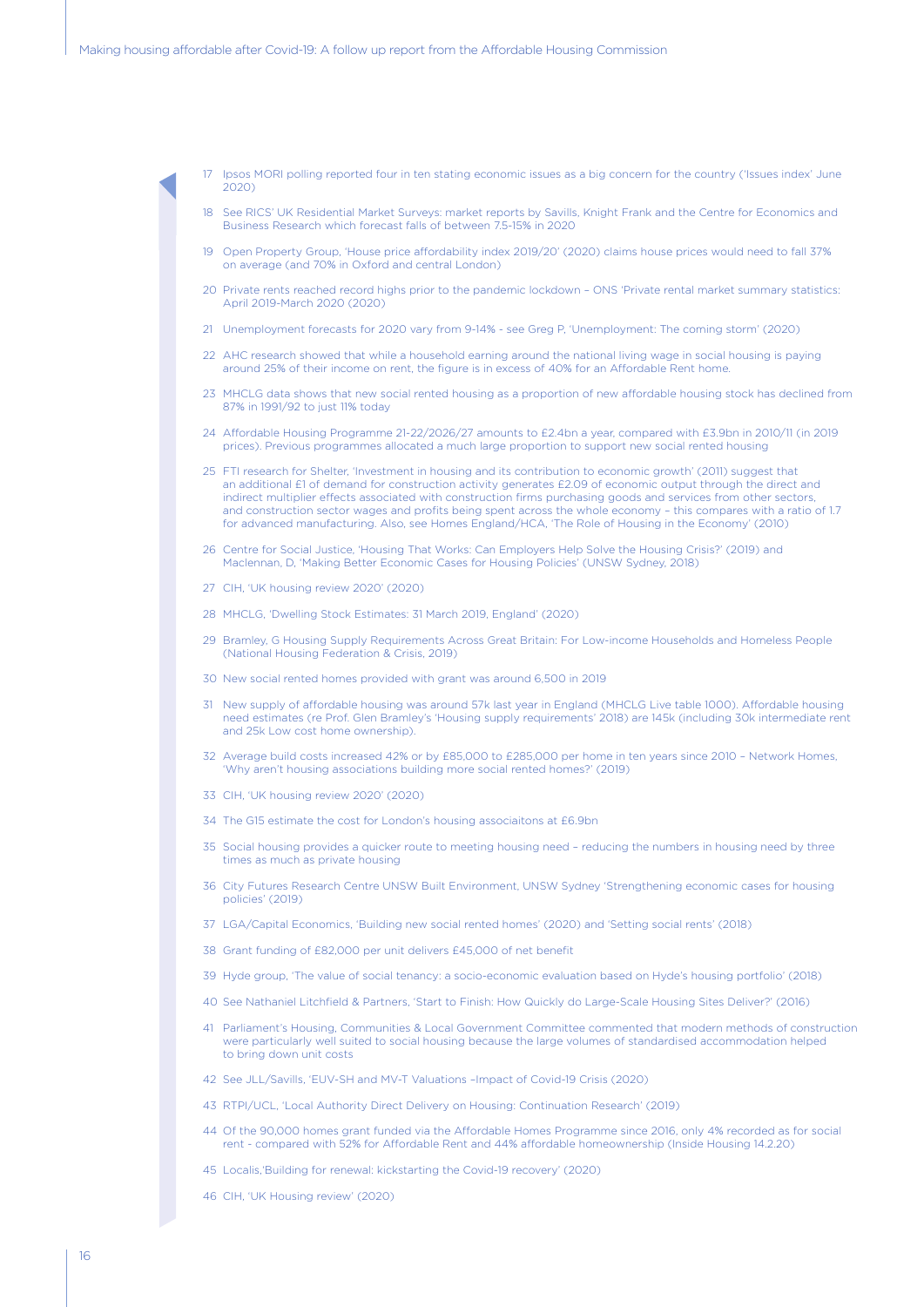- 17 Ipsos MORI polling reported four in ten stating economic issues as a big concern for the country ('Issues index' June 2020)
- 18 See RICS' UK Residential Market Surveys: market reports by Savills, Knight Frank and the Centre for Economics and Business Research which forecast falls of between 7.5-15% in 2020
- 19 Open Property Group, 'House price affordability index 2019/20' (2020) claims house prices would need to fall 37% on average (and 70% in Oxford and central London)
- 20 Private rents reached record highs prior to the pandemic lockdown ONS 'Private rental market summary statistics: April 2019-March 2020 (2020)
- 21 Unemployment forecasts for 2020 vary from 9-14% see Greg P, 'Unemployment: The coming storm' (2020)
- 22 AHC research showed that while a household earning around the national living wage in social housing is paying around 25% of their income on rent, the figure is in excess of 40% for an Affordable Rent home.
- 23 MHCLG data shows that new social rented housing as a proportion of new affordable housing stock has declined from 87% in 1991/92 to just 11% today
- 24 Affordable Housing Programme 21-22/2026/27 amounts to £2.4bn a year, compared with £3.9bn in 2010/11 (in 2019 prices). Previous programmes allocated a much large proportion to support new social rented housing
- 25 FTI research for Shelter, 'Investment in housing and its contribution to economic growth' (2011) suggest that an additional £1 of demand for construction activity generates £2.09 of economic output through the direct and indirect multiplier effects associated with construction firms purchasing goods and services from other sectors, and construction sector wages and profits being spent across the whole economy – this compares with a ratio of 1.7 for advanced manufacturing. Also, see Homes England/HCA, 'The Role of Housing in the Economy' (2010)
- 26 Centre for Social Justice, 'Housing That Works: Can Employers Help Solve the Housing Crisis?' (2019) and Maclennan, D, 'Making Better Economic Cases for Housing Policies' (UNSW Sydney, 2018)
- 27 CIH, 'UK housing review 2020' (2020)
- 28 MHCLG, 'Dwelling Stock Estimates: 31 March 2019, England' (2020)
- 29 Bramley, G Housing Supply Requirements Across Great Britain: For Low-income Households and Homeless People (National Housing Federation & Crisis, 2019)
- 30 New social rented homes provided with grant was around 6,500 in 2019
- 31 New supply of affordable housing was around 57k last year in England (MHCLG Live table 1000). Affordable housing need estimates (re Prof. Glen Bramley's 'Housing supply requirements' 2018) are 145k (including 30k intermediate rent and 25k Low cost home ownership).
- 32 Average build costs increased 42% or by £85,000 to £285,000 per home in ten years since 2010 Network Homes, 'Why aren't housing associations building more social rented homes?' (2019)
- 33 CIH, 'UK housing review 2020' (2020)
- 34 The G15 estimate the cost for London's housing associaitons at £6.9bn
- 35 Social housing provides a quicker route to meeting housing need reducing the numbers in housing need by three times as much as private housing
- 36 City Futures Research Centre UNSW Built Environment, UNSW Sydney 'Strengthening economic cases for housing policies' (2019)
- 37 LGA/Capital Economics, 'Building new social rented homes' (2020) and 'Setting social rents' (2018)
- 38 Grant funding of £82,000 per unit delivers £45,000 of net benefit
- 39 Hyde group, 'The value of social tenancy: a socio-economic evaluation based on Hyde's housing portfolio' (2018)
- 40 See Nathaniel Litchfield & Partners, 'Start to Finish: How Quickly do Large-Scale Housing Sites Deliver?' (2016)
- 41 Parliament's Housing, Communities & Local Government Committee commented that modern methods of construction were particularly well suited to social housing because the large volumes of standardised accommodation helped to bring down unit costs
- 42 See JLL/Savills, 'EUV-SH and MV-T Valuations –Impact of Covid-19 Crisis (2020)
- 43 RTPI/UCL, 'Local Authority Direct Delivery on Housing: Continuation Research' (2019)
- 44 Of the 90,000 homes grant funded via the Affordable Homes Programme since 2016, only 4% recorded as for social rent - compared with 52% for Affordable Rent and 44% affordable homeownership (Inside Housing 14.2.20)
- 45 Localis,'Building for renewal: kickstarting the Covid-19 recovery' (2020)
- 46 CIH, 'UK Housing review' (2020)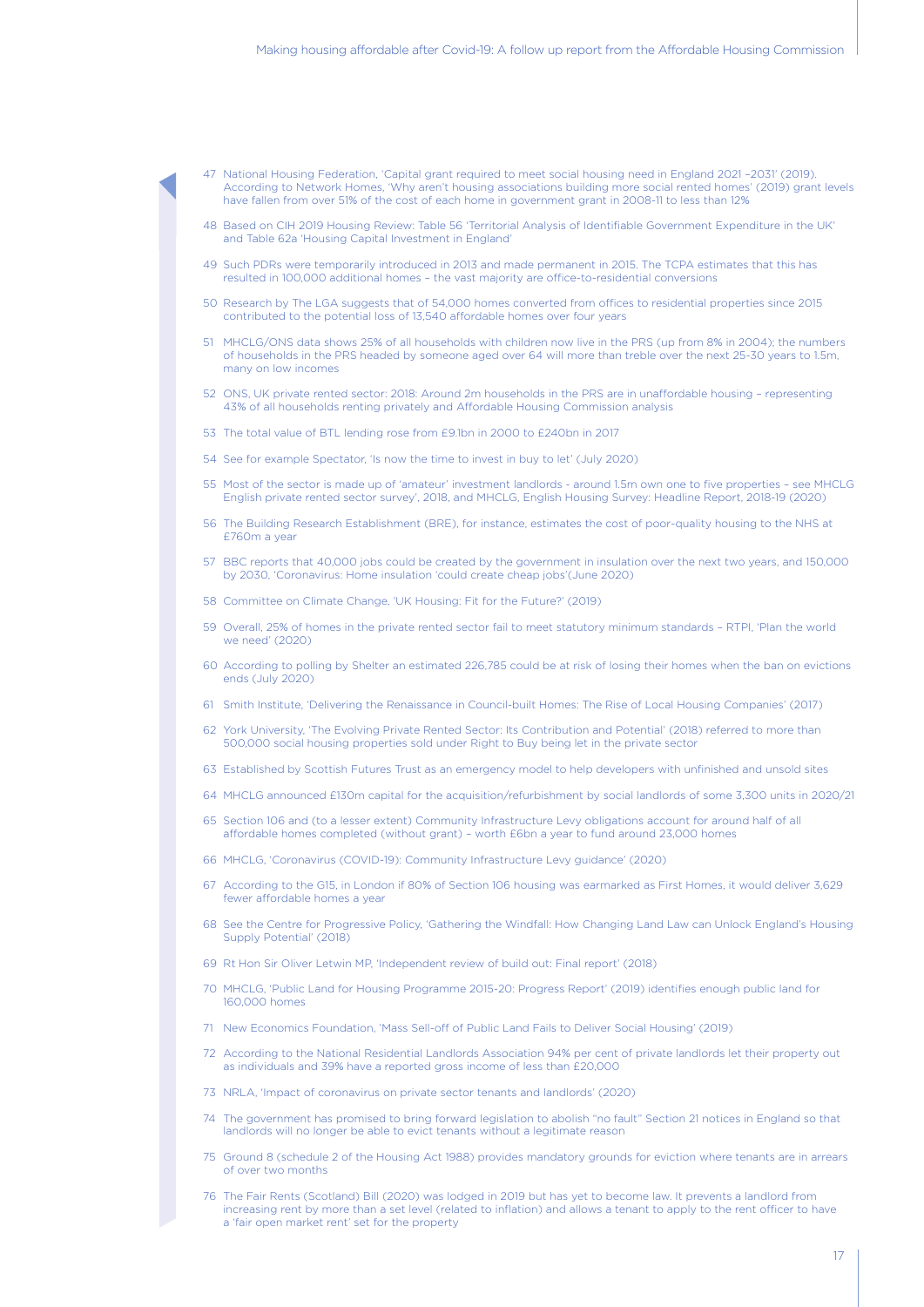- 47 National Housing Federation, 'Capital grant required to meet social housing need in England 2021 –2031' (2019). According to Network Homes, 'Why aren't housing associations building more social rented homes' (2019) grant levels have fallen from over 51% of the cost of each home in government grant in 2008-11 to less than 12%
- 48 Based on CIH 2019 Housing Review: Table 56 'Territorial Analysis of Identifiable Government Expenditure in the UK' and Table 62a 'Housing Capital Investment in England'
- 49 Such PDRs were temporarily introduced in 2013 and made permanent in 2015. The TCPA estimates that this has resulted in 100,000 additional homes – the vast majority are office-to-residential conversions
- 50 Research by The LGA suggests that of 54,000 homes converted from offices to residential properties since 2015 contributed to the potential loss of 13,540 affordable homes over four years
- 51 MHCLG/ONS data shows 25% of all households with children now live in the PRS (up from 8% in 2004); the numbers of households in the PRS headed by someone aged over 64 will more than treble over the next 25-30 years to 1.5m, many on low incomes
- 52 ONS, UK private rented sector: 2018: Around 2m households in the PRS are in unaffordable housing representing 43% of all households renting privately and Affordable Housing Commission analysis
- 53 The total value of BTL lending rose from £9.1bn in 2000 to £240bn in 2017
- 54 See for example Spectator, 'Is now the time to invest in buy to let' (July 2020)
- 55 Most of the sector is made up of 'amateur' investment landlords around 1.5m own one to five properties see MHCLG English private rented sector survey', 2018, and MHCLG, English Housing Survey: Headline Report, 2018-19 (2020)
- 56 The Building Research Establishment (BRE), for instance, estimates the cost of poor-quality housing to the NHS at £760m a year
- 57 BBC reports that 40,000 jobs could be created by the government in insulation over the next two years, and 150,000 by 2030, 'Coronavirus: Home insulation 'could create cheap jobs'(June 2020)
- 58 Committee on Climate Change, 'UK Housing: Fit for the Future?' (2019)
- 59 Overall, 25% of homes in the private rented sector fail to meet statutory minimum standards RTPI, 'Plan the world we need' (2020)
- 60 According to polling by Shelter an estimated 226,785 could be at risk of losing their homes when the ban on evictions ends (July 2020)
- 61 Smith Institute, 'Delivering the Renaissance in Council-built Homes: The Rise of Local Housing Companies' (2017)
- York University, 'The Evolving Private Rented Sector: Its Contribution and Potential' (2018) referred to more than 500,000 social housing properties sold under Right to Buy being let in the private sector
- 63 Established by Scottish Futures Trust as an emergency model to help developers with unfinished and unsold sites
- 64 MHCLG announced £130m capital for the acquisition/refurbishment by social landlords of some 3,300 units in 2020/21
- 65 Section 106 and (to a lesser extent) Community Infrastructure Levy obligations account for around half of all affordable homes completed (without grant) – worth £6bn a year to fund around 23,000 homes
- 66 MHCLG, 'Coronavirus (COVID-19): Community Infrastructure Levy guidance' (2020)
- 67 According to the G15, in London if 80% of Section 106 housing was earmarked as First Homes, it would deliver 3,629 fewer affordable homes a year
- 68 See the Centre for Progressive Policy, 'Gathering the Windfall: How Changing Land Law can Unlock England's Housing Supply Potential' (2018)
- 69 Rt Hon Sir Oliver Letwin MP, 'Independent review of build out: Final report' (2018)
- 70 MHCLG, 'Public Land for Housing Programme 2015-20: Progress Report' (2019) identifies enough public land for 160,000 homes
- 71 New Economics Foundation, 'Mass Sell-off of Public Land Fails to Deliver Social Housing' (2019)
- 72 According to the National Residential Landlords Association 94% per cent of private landlords let their property out as individuals and 39% have a reported gross income of less than £20,000
- 73 NRLA, 'Impact of coronavirus on private sector tenants and landlords' (2020)
- 74 The government has promised to bring forward legislation to abolish "no fault" Section 21 notices in England so that landlords will no longer be able to evict tenants without a legitimate reason
- 75 Ground 8 (schedule 2 of the Housing Act 1988) provides mandatory grounds for eviction where tenants are in arrears of over two months
- 76 The Fair Rents (Scotland) Bill (2020) was lodged in 2019 but has yet to become law. It prevents a landlord from increasing rent by more than a set level (related to inflation) and allows a tenant to apply to the rent officer to have a 'fair open market rent' set for the property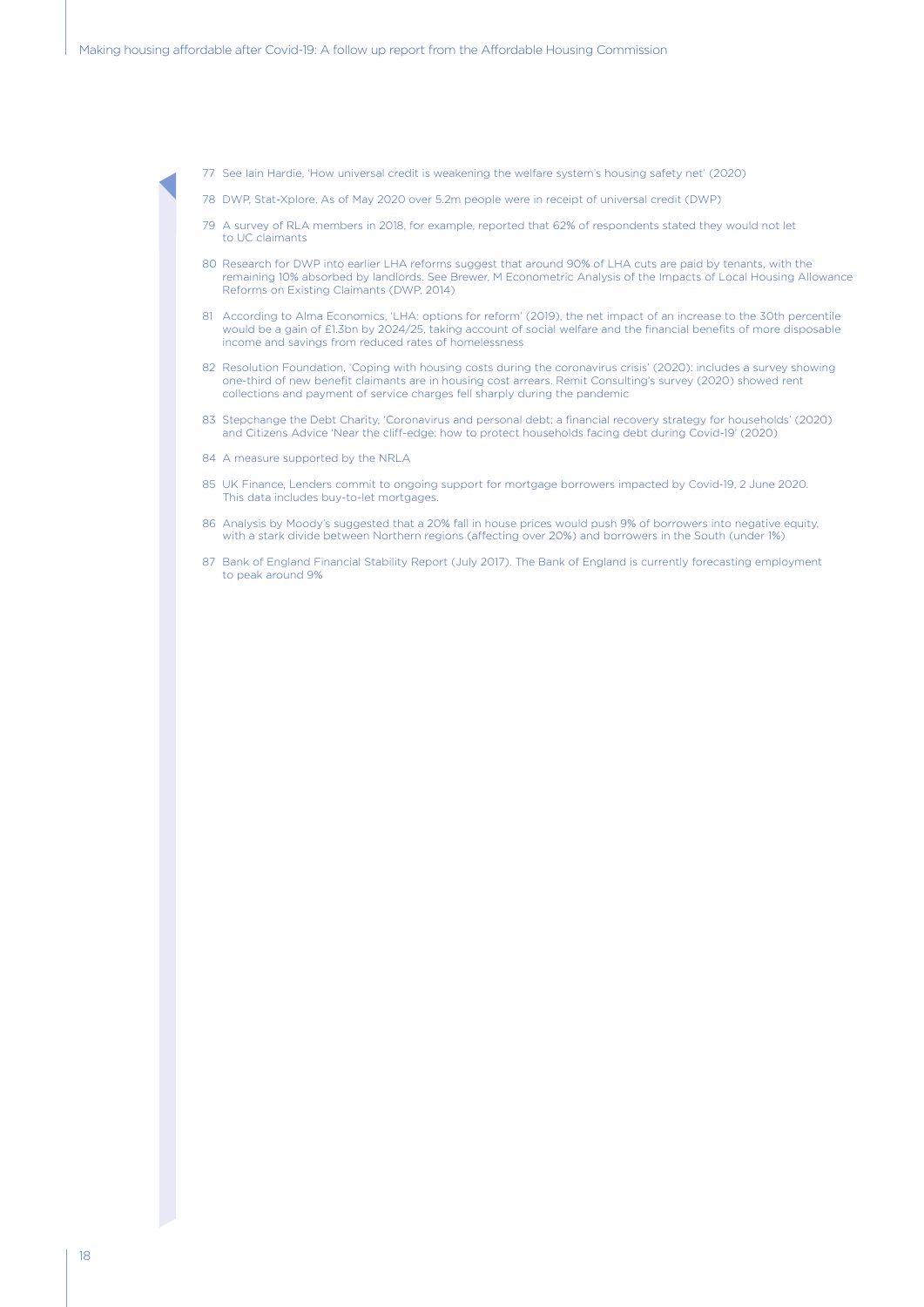- 77 See Iain Hardie, 'How universal credit is weakening the welfare system's housing safety net' (2020)
- 78 DWP, Stat-Xplore, As of May 2020 over 5.2m people were in receipt of universal credit (DWP)
- 79 A survey of RLA members in 2018, for example, reported that 62% of respondents stated they would not let to UC claimants
- 80 Research for DWP into earlier LHA reforms suggest that around 90% of LHA cuts are paid by tenants, with the remaining 10% absorbed by landlords. See Brewer, M Econometric Analysis of the Impacts of Local Housing Allowance Reforms on Existing Claimants (DWP, 2014)
- 81 According to Alma Economics, 'LHA: options for reform' (2019), the net impact of an increase to the 30th percentile would be a gain of £1.3bn by 2024/25, taking account of social welfare and the financial benefits of more disposable income and savings from reduced rates of homelessness
- 82 Resolution Foundation, 'Coping with housing costs during the coronavirus crisis' (2020): includes a survey showing one-third of new benefit claimants are in housing cost arrears. Remit Consulting's survey (2020) showed rent collections and payment of service charges fell sharply during the pandemic
- 83 Stepchange the Debt Charity, 'Coronavirus and personal debt: a financial recovery strategy for households' (2020) and Citizens Advice 'Near the cliff-edge: how to protect households facing debt during Covid-19' (2020)
- 84 A measure supported by the NRLA
- 85 UK Finance, Lenders commit to ongoing support for mortgage borrowers impacted by Covid-19, 2 June 2020. This data includes buy-to-let mortgages.
- 86 Analysis by Moody's suggested that a 20% fall in house prices would push 9% of borrowers into negative equity, with a stark divide between Northern regions (affecting over 20%) and borrowers in the South (under 1%)
- 87 Bank of England Financial Stability Report (July 2017). The Bank of England is currently forecasting employment to peak around 9%